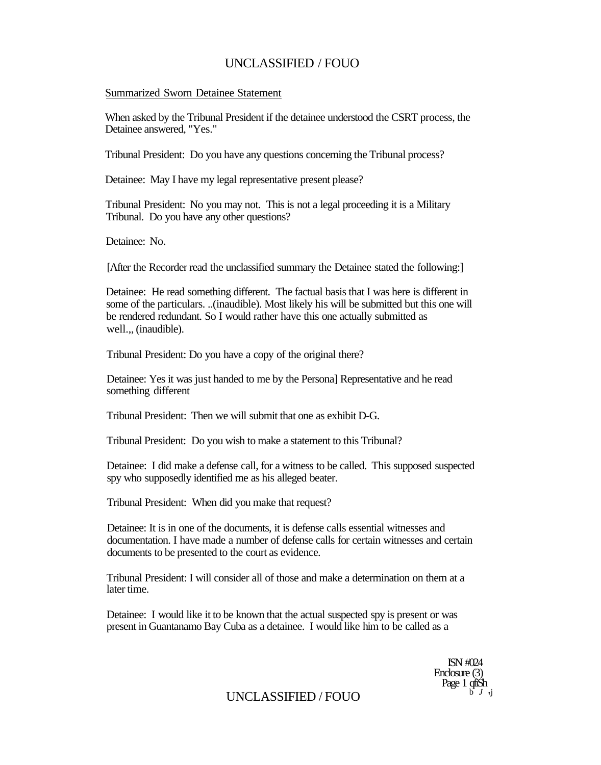#### Summarized Sworn Detainee Statement

When asked by the Tribunal President if the detainee understood the CSRT process, the Detainee answered, "Yes."

Tribunal President: Do you have any questions concerning the Tribunal process?

Detainee: May I have my legal representative present please?

Tribunal President: No you may not. This is not a legal proceeding it is a Military Tribunal. Do you have any other questions?

Detainee: No.

[After the Recorder read the unclassified summary the Detainee stated the following:]

Detainee: He read something different. The factual basis that I was here is different in some of the particulars. ..(inaudible). Most likely his will be submitted but this one will be rendered redundant. So I would rather have this one actually submitted as well.,, (inaudible).

Tribunal President: Do you have a copy of the original there?

Detainee: Yes it was just handed to me by the Persona] Representative and he read something different

Tribunal President: Then we will submit that one as exhibit D-G.

Tribunal President: Do you wish to make a statement to this Tribunal?

Detainee: I did make a defense call, for a witness to be called. This supposed suspected spy who supposedly identified me as his alleged beater.

Tribunal President: When did you make that request?

Detainee: It is in one of the documents, it is defense calls essential witnesses and documentation. I have made a number of defense calls for certain witnesses and certain documents to be presented to the court as evidence.

Tribunal President: I will consider all of those and make a determination on them at a later time.

Detainee: I would like it to be known that the actual suspected spy is present or was present in Guantanamo Bay Cuba as a detainee. I would like him to be called as a

> ISN #024 Enclosure (3) Page 1 qfiSh <sup>b</sup>*<sup>J</sup>* '<sup>j</sup>

UNCLASSIFIED / FOUO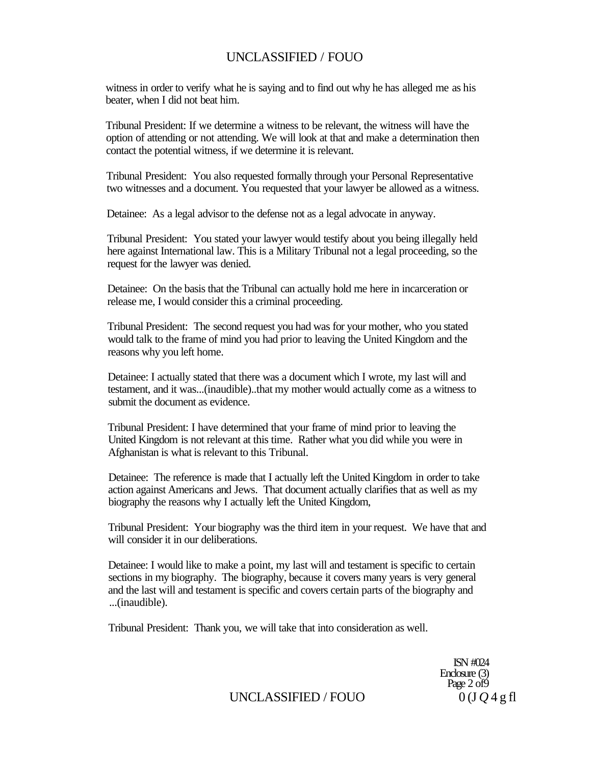witness in order to verify what he is saying and to find out why he has alleged me as his beater, when I did not beat him.

Tribunal President: If we determine a witness to be relevant, the witness will have the option of attending or not attending. We will look at that and make a determination then contact the potential witness, if we determine it is relevant.

Tribunal President: You also requested formally through your Personal Representative two witnesses and a document. You requested that your lawyer be allowed as a witness.

Detainee: As a legal advisor to the defense not as a legal advocate in anyway.

Tribunal President: You stated your lawyer would testify about you being illegally held here against International law. This is a Military Tribunal not a legal proceeding, so the request for the lawyer was denied.

Detainee: On the basis that the Tribunal can actually hold me here in incarceration or release me, I would consider this a criminal proceeding.

Tribunal President: The second request you had was for your mother, who you stated would talk to the frame of mind you had prior to leaving the United Kingdom and the reasons why you left home.

Detainee: I actually stated that there was a document which I wrote, my last will and testament, and it was...(inaudible)..that my mother would actually come as a witness to submit the document as evidence.

Tribunal President: I have determined that your frame of mind prior to leaving the United Kingdom is not relevant at this time. Rather what you did while you were in Afghanistan is what is relevant to this Tribunal.

Detainee: The reference is made that I actually left the United Kingdom in order to take action against Americans and Jews. That document actually clarifies that as well as my biography the reasons why I actually left the United Kingdom,

Tribunal President: Your biography was the third item in your request. We have that and will consider it in our deliberations.

Detainee: I would like to make a point, my last will and testament is specific to certain sections in my biography. The biography, because it covers many years is very general and the last will and testament is specific and covers certain parts of the biography and ...(inaudible).

Tribunal President: Thank you, we will take that into consideration as well.

ISN #024 Enclosure (3) Page 2 of 9

UNCLASSIFIED / FOUO  $0$  (J  $Q$  4 g fl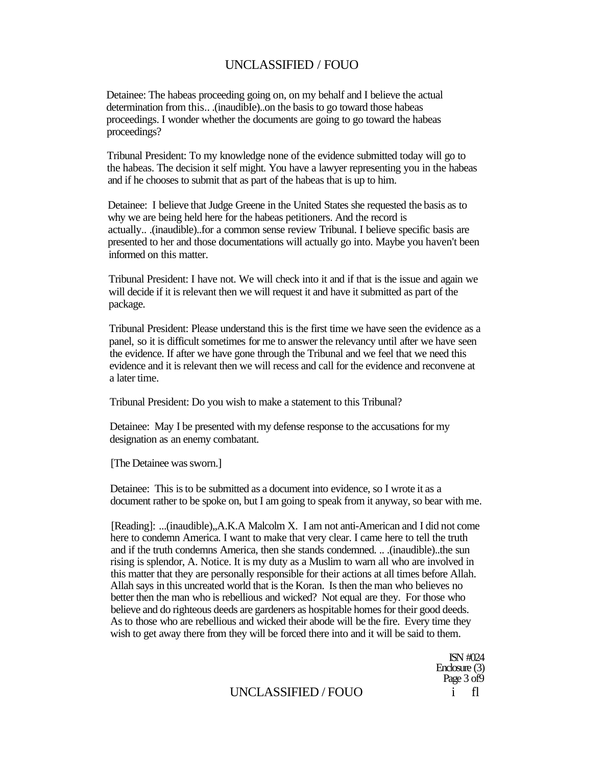Detainee: The habeas proceeding going on, on my behalf and I believe the actual determination from this.. .(inaudibIe)..on the basis to go toward those habeas proceedings. I wonder whether the documents are going to go toward the habeas proceedings?

Tribunal President: To my knowledge none of the evidence submitted today will go to the habeas. The decision it self might. You have a lawyer representing you in the habeas and if he chooses to submit that as part of the habeas that is up to him.

Detainee: I believe that Judge Greene in the United States she requested the basis as to why we are being held here for the habeas petitioners. And the record is actually.. .(inaudible)..for a common sense review Tribunal. I believe specific basis are presented to her and those documentations will actually go into. Maybe you haven't been informed on this matter.

Tribunal President: I have not. We will check into it and if that is the issue and again we will decide if it is relevant then we will request it and have it submitted as part of the package.

Tribunal President: Please understand this is the first time we have seen the evidence as a panel, so it is difficult sometimes for me to answer the relevancy until after we have seen the evidence. If after we have gone through the Tribunal and we feel that we need this evidence and it is relevant then we will recess and call for the evidence and reconvene at a later time.

Tribunal President: Do you wish to make a statement to this Tribunal?

Detainee: May I be presented with my defense response to the accusations for my designation as an enemy combatant.

[The Detainee was sworn.]

Detainee: This is to be submitted as a document into evidence, so I wrote it as a document rather to be spoke on, but I am going to speak from it anyway, so bear with me.

[Reading]: ...(inaudible)"A.K.A Malcolm X. I am not anti-American and I did not come here to condemn America. I want to make that very clear. I came here to tell the truth and if the truth condemns America, then she stands condemned. .. .(inaudible)..the sun rising is splendor, A. Notice. It is my duty as a Muslim to warn all who are involved in this matter that they are personally responsible for their actions at all times before Allah. Allah says in this uncreated world that is the Koran. Is then the man who believes no better then the man who is rebellious and wicked? Not equal are they. For those who believe and do righteous deeds are gardeners as hospitable homes for their good deeds. As to those who are rebellious and wicked their abode will be the fire. Every time they wish to get away there from they will be forced there into and it will be said to them.

> ISN #024 Enclosure (3) Page 3 of9

UNCLASSIFIED / FOUO i fl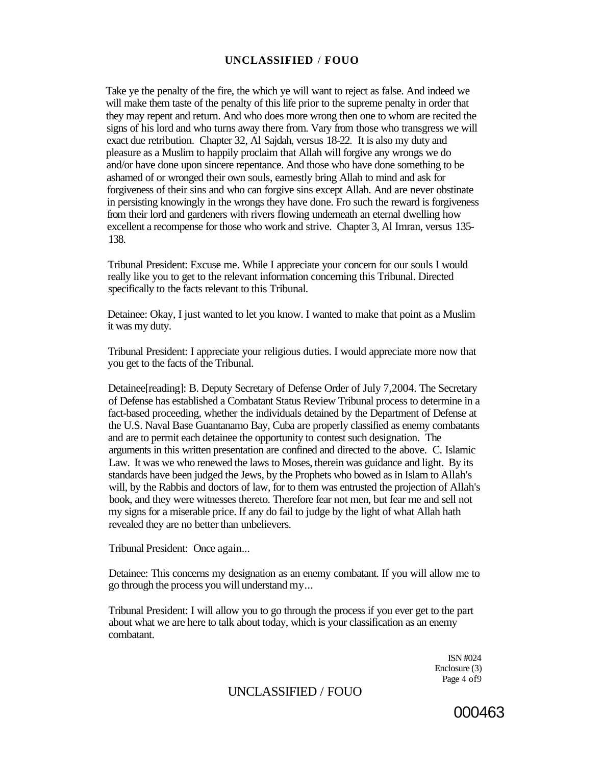Take ye the penalty of the fire, the which ye will want to reject as false. And indeed we will make them taste of the penalty of this life prior to the supreme penalty in order that they may repent and return. And who does more wrong then one to whom are recited the signs of his lord and who turns away there from. Vary from those who transgress we will exact due retribution. Chapter 32, Al Sajdah, versus 18-22. It is also my duty and pleasure as a Muslim to happily proclaim that Allah will forgive any wrongs we do and/or have done upon sincere repentance. And those who have done something to be ashamed of or wronged their own souls, earnestly bring Allah to mind and ask for forgiveness of their sins and who can forgive sins except Allah. And are never obstinate in persisting knowingly in the wrongs they have done. Fro such the reward is forgiveness from their lord and gardeners with rivers flowing underneath an eternal dwelling how excellent a recompense for those who work and strive. Chapter 3, Al Imran, versus 135- 138.

Tribunal President: Excuse me. While I appreciate your concern for our souls I would really like you to get to the relevant information concerning this Tribunal. Directed specifically to the facts relevant to this Tribunal.

Detainee: Okay, I just wanted to let you know. I wanted to make that point as a Muslim it was my duty.

Tribunal President: I appreciate your religious duties. I would appreciate more now that you get to the facts of the Tribunal.

Detainee[reading]: B. Deputy Secretary of Defense Order of July 7,2004. The Secretary of Defense has established a Combatant Status Review Tribunal process to determine in a fact-based proceeding, whether the individuals detained by the Department of Defense at the U.S. Naval Base Guantanamo Bay, Cuba are properly classified as enemy combatants and are to permit each detainee the opportunity to contest such designation. The arguments in this written presentation are confined and directed to the above. C. Islamic Law. It was we who renewed the laws to Moses, therein was guidance and light. By its standards have been judged the Jews, by the Prophets who bowed as in Islam to Allah's will, by the Rabbis and doctors of law, for to them was entrusted the projection of Allah's book, and they were witnesses thereto. Therefore fear not men, but fear me and sell not my signs for a miserable price. If any do fail to judge by the light of what Allah hath revealed they are no better than unbelievers.

Tribunal President: Once again...

Detainee: This concerns my designation as an enemy combatant. If you will allow me to go through the process you will understand my...

Tribunal President: I will allow you to go through the process if you ever get to the part about what we are here to talk about today, which is your classification as an enemy combatant.

> ISN #024 Enclosure (3) Page 4 of9

### UNCLASSIFIED / FOUO

000463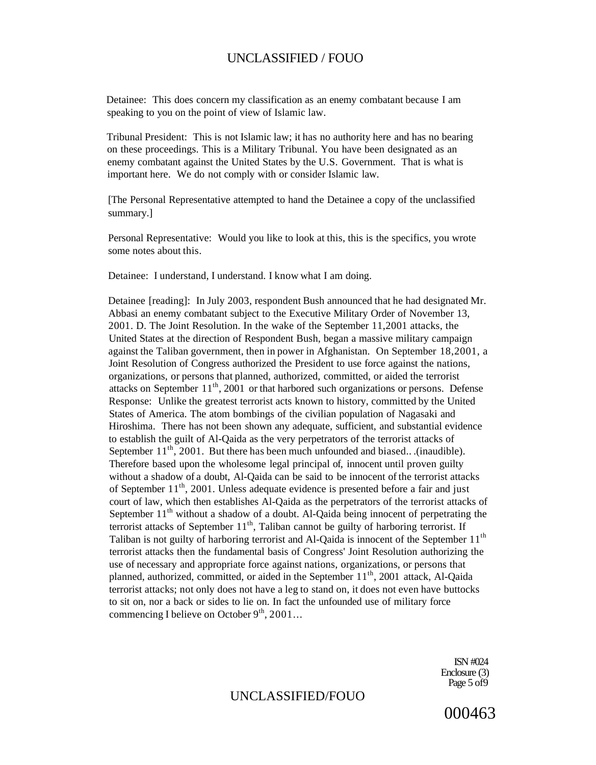Detainee: This does concern my classification as an enemy combatant because I am speaking to you on the point of view of Islamic law.

Tribunal President: This is not Islamic law; it has no authority here and has no bearing on these proceedings. This is a Military Tribunal. You have been designated as an enemy combatant against the United States by the U.S. Government. That is what is important here. We do not comply with or consider Islamic law.

[The Personal Representative attempted to hand the Detainee a copy of the unclassified summary.]

Personal Representative: Would you like to look at this, this is the specifics, you wrote some notes about this.

Detainee: I understand, I understand. I know what I am doing.

Detainee [reading]: In July 2003, respondent Bush announced that he had designated Mr. Abbasi an enemy combatant subject to the Executive Military Order of November 13, 2001. D. The Joint Resolution. In the wake of the September 11,2001 attacks, the United States at the direction of Respondent Bush, began a massive military campaign against the Taliban government, then in power in Afghanistan. On September 18,2001, a Joint Resolution of Congress authorized the President to use force against the nations, organizations, or persons that planned, authorized, committed, or aided the terrorist attacks on September  $11<sup>th</sup>$ , 2001 or that harbored such organizations or persons. Defense Response: Unlike the greatest terrorist acts known to history, committed by the United States of America. The atom bombings of the civilian population of Nagasaki and Hiroshima. There has not been shown any adequate, sufficient, and substantial evidence to establish the guilt of Al-Qaida as the very perpetrators of the terrorist attacks of September  $11^{th}$ , 2001. But there has been much unfounded and biased...(inaudible). Therefore based upon the wholesome legal principal of, innocent until proven guilty without a shadow of a doubt, Al-Qaida can be said to be innocent of the terrorist attacks of September 11<sup>th</sup>, 2001. Unless adequate evidence is presented before a fair and just court of law, which then establishes Al-Qaida as the perpetrators of the terrorist attacks of September  $11<sup>th</sup>$  without a shadow of a doubt. Al-Qaida being innocent of perpetrating the terrorist attacks of September  $11<sup>th</sup>$ , Taliban cannot be guilty of harboring terrorist. If Taliban is not guilty of harboring terrorist and Al-Qaida is innocent of the September 11<sup>th</sup> terrorist attacks then the fundamental basis of Congress' Joint Resolution authorizing the use of necessary and appropriate force against nations, organizations, or persons that planned, authorized, committed, or aided in the September 11<sup>th</sup>, 2001 attack, Al-Qaida terrorist attacks; not only does not have a leg to stand on, it does not even have buttocks to sit on, nor a back or sides to lie on. In fact the unfounded use of military force commencing I believe on October  $9<sup>th</sup>$ , 2001...

> ISN #024 Enclosure (3) Page 5 of 9

### UNCLASSIFIED/FOUO

000463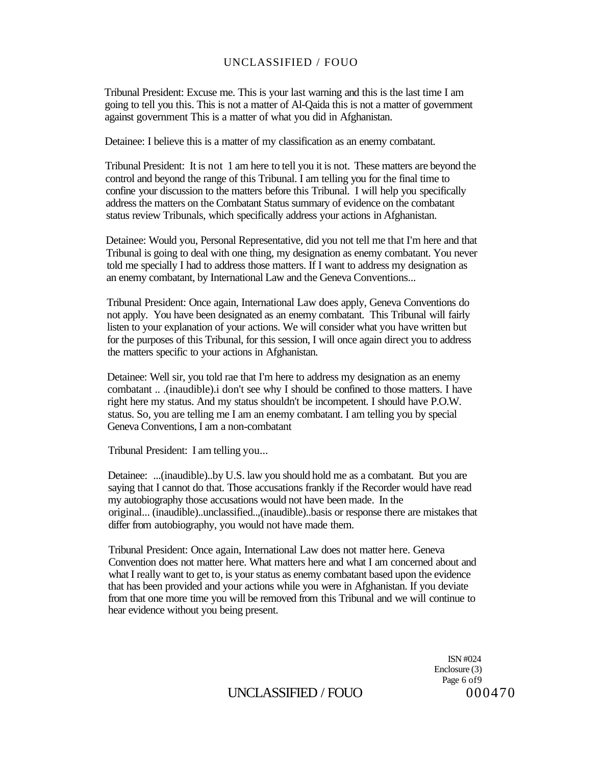Tribunal President: Excuse me. This is your last warning and this is the last time I am going to tell you this. This is not a matter of Al-Qaida this is not a matter of government against government This is a matter of what you did in Afghanistan.

Detainee: I believe this is a matter of my classification as an enemy combatant.

Tribunal President: It is not 1 am here to tell you it is not. These matters are beyond the control and beyond the range of this Tribunal. I am telling you for the final time to confine your discussion to the matters before this Tribunal. I will help you specifically address the matters on the Combatant Status summary of evidence on the combatant status review Tribunals, which specifically address your actions in Afghanistan.

Detainee: Would you, Personal Representative, did you not tell me that I'm here and that Tribunal is going to deal with one thing, my designation as enemy combatant. You never told me specially I had to address those matters. If I want to address my designation as an enemy combatant, by International Law and the Geneva Conventions...

Tribunal President: Once again, International Law does apply, Geneva Conventions do not apply. You have been designated as an enemy combatant. This Tribunal will fairly listen to your explanation of your actions. We will consider what you have written but for the purposes of this Tribunal, for this session, I will once again direct you to address the matters specific to your actions in Afghanistan.

Detainee: Well sir, you told rae that I'm here to address my designation as an enemy combatant .. .(inaudible).i don't see why I should be confined to those matters. I have right here my status. And my status shouldn't be incompetent. I should have P.O.W. status. So, you are telling me I am an enemy combatant. I am telling you by special Geneva Conventions, I am a non-combatant

Tribunal President: I am telling you...

Detainee: ...(inaudible)..by U.S. law you should hold me as a combatant. But you are saying that I cannot do that. Those accusations frankly if the Recorder would have read my autobiography those accusations would not have been made. In the original... (inaudible)..unclassified..,(inaudible)..basis or response there are mistakes that differ from autobiography, you would not have made them.

Tribunal President: Once again, International Law does not matter here. Geneva Convention does not matter here. What matters here and what I am concerned about and what I really want to get to, is your status as enemy combatant based upon the evidence that has been provided and your actions while you were in Afghanistan. If you deviate from that one more time you will be removed from this Tribunal and we will continue to hear evidence without you being present.

> ISN #024 Enclosure (3) Page 6 of9

### UNCLASSIFIED / FOUO 000470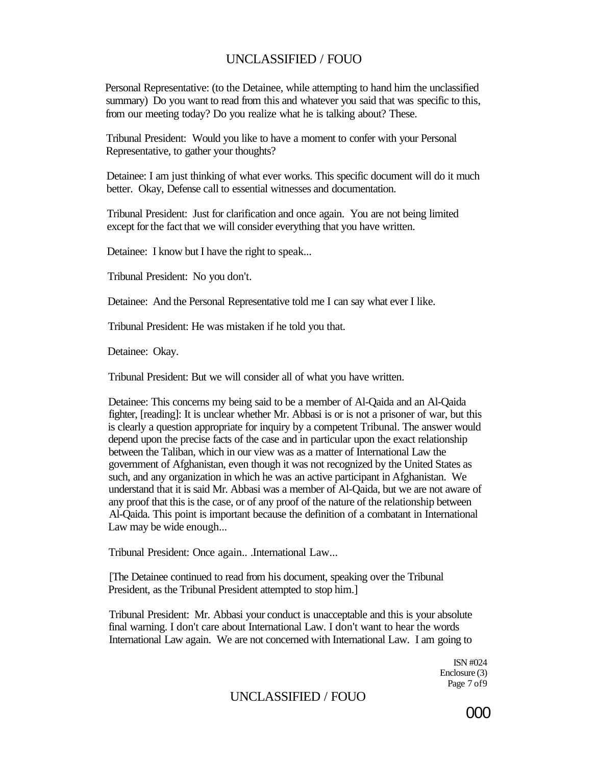Personal Representative: (to the Detainee, while attempting to hand him the unclassified summary) Do you want to read from this and whatever you said that was specific to this, from our meeting today? Do you realize what he is talking about? These.

Tribunal President: Would you like to have a moment to confer with your Personal Representative, to gather your thoughts?

Detainee: I am just thinking of what ever works. This specific document will do it much better. Okay, Defense call to essential witnesses and documentation.

Tribunal President: Just for clarification and once again. You are not being limited except for the fact that we will consider everything that you have written.

Detainee: I know but I have the right to speak...

Tribunal President: No you don't.

Detainee: And the Personal Representative told me I can say what ever I like.

Tribunal President: He was mistaken if he told you that.

Detainee: Okay.

Tribunal President: But we will consider all of what you have written.

Detainee: This concerns my being said to be a member of Al-Qaida and an Al-Qaida fighter, [reading]: It is unclear whether Mr. Abbasi is or is not a prisoner of war, but this is clearly a question appropriate for inquiry by a competent Tribunal. The answer would depend upon the precise facts of the case and in particular upon the exact relationship between the Taliban, which in our view was as a matter of International Law the government of Afghanistan, even though it was not recognized by the United States as such, and any organization in which he was an active participant in Afghanistan. We understand that it is said Mr. Abbasi was a member of Al-Qaida, but we are not aware of any proof that this is the case, or of any proof of the nature of the relationship between Al-Qaida. This point is important because the definition of a combatant in International Law may be wide enough...

Tribunal President: Once again.. .International Law...

[The Detainee continued to read from his document, speaking over the Tribunal President, as the Tribunal President attempted to stop him.]

Tribunal President: Mr. Abbasi your conduct is unacceptable and this is your absolute final warning. I don't care about International Law. I don't want to hear the words International Law again. We are not concerned with International Law. I am going to

> ISN #024 Enclosure (3) Page 7 of9

### UNCLASSIFIED / FOUO

000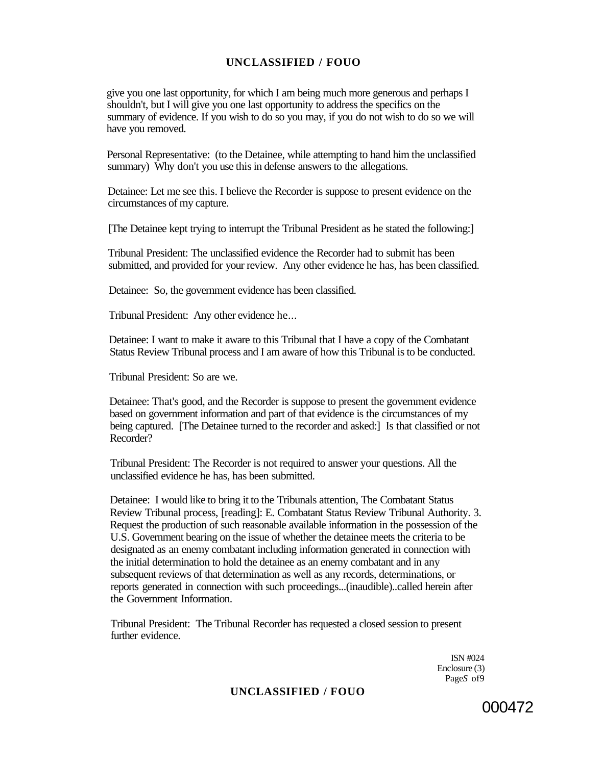give you one last opportunity, for which I am being much more generous and perhaps I shouldn't, but I will give you one last opportunity to address the specifics on the summary of evidence. If you wish to do so you may, if you do not wish to do so we will have you removed.

Personal Representative: (to the Detainee, while attempting to hand him the unclassified summary) Why don't you use this in defense answers to the allegations.

Detainee: Let me see this. I believe the Recorder is suppose to present evidence on the circumstances of my capture.

[The Detainee kept trying to interrupt the Tribunal President as he stated the following:]

Tribunal President: The unclassified evidence the Recorder had to submit has been submitted, and provided for your review. Any other evidence he has, has been classified.

Detainee: So, the government evidence has been classified.

Tribunal President: Any other evidence he...

Detainee: I want to make it aware to this Tribunal that I have a copy of the Combatant Status Review Tribunal process and I am aware of how this Tribunal is to be conducted.

Tribunal President: So are we.

Detainee: That's good, and the Recorder is suppose to present the government evidence based on government information and part of that evidence is the circumstances of my being captured. [The Detainee turned to the recorder and asked:] Is that classified or not Recorder?

Tribunal President: The Recorder is not required to answer your questions. All the unclassified evidence he has, has been submitted.

Detainee: I would like to bring it to the Tribunals attention, The Combatant Status Review Tribunal process, [reading]: E. Combatant Status Review Tribunal Authority. 3. Request the production of such reasonable available information in the possession of the U.S. Government bearing on the issue of whether the detainee meets the criteria to be designated as an enemy combatant including information generated in connection with the initial determination to hold the detainee as an enemy combatant and in any subsequent reviews of that determination as well as any records, determinations, or reports generated in connection with such proceedings...(inaudible)..called herein after the Government Information.

Tribunal President: The Tribunal Recorder has requested a closed session to present further evidence.

> ISN #024 Enclosure (3) Page*S* of9

#### **UNCLASSIFIED / FOUO**

000472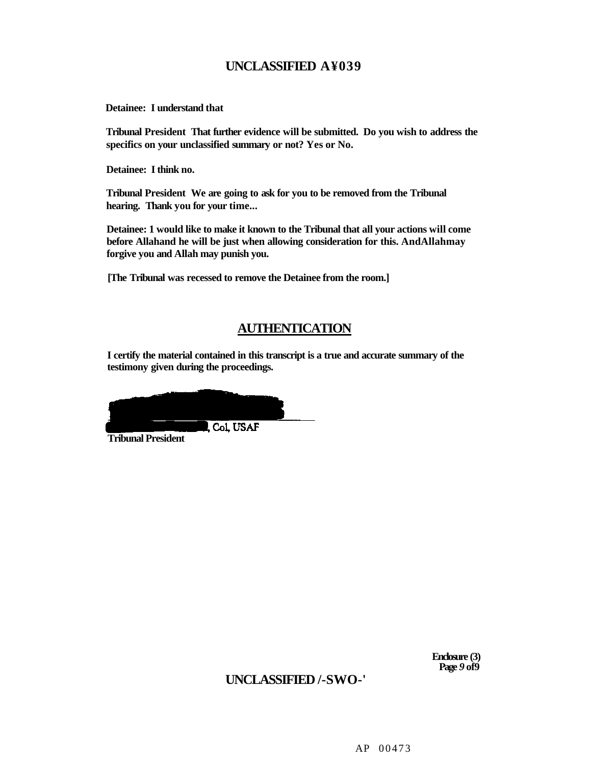### **UNCLASSIFIED A¥039**

**Detainee: I understand that** 

**Tribunal President That further evidence will be submitted. Do you wish to address the specifics on your unclassified summary or not? Yes or No.** 

**Detainee: I think no.** 

**Tribunal President We are going to ask for you to be removed from the Tribunal hearing. Thank you for your time...** 

**Detainee: 1 would like to make it known to the Tribunal that all your actions will come before Allahand he will be just when allowing consideration for this. AndAllahmay forgive you and Allah may punish you.** 

**[The Tribunal was recessed to remove the Detainee from the room.]** 

### **AUTHENTICATION**

**I certify the material contained in this transcript is a true and accurate summary of the testimony given during the proceedings.** 

 $\blacksquare$  Col. USAF

**Tribunal President** 

**Enclosure (3) Page** *9* **of9** 

### **UNCLASSIFIED /-SWO-'**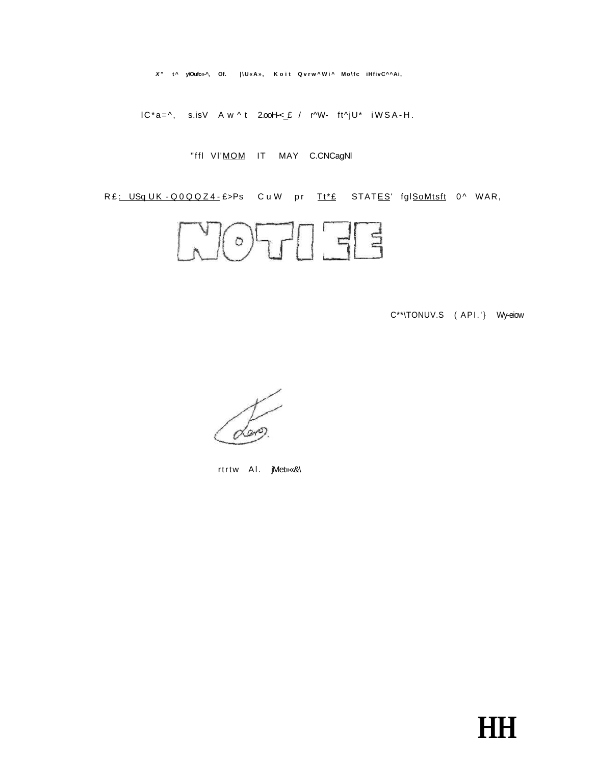X" t^ y\Oufc«-^, Of. |\U«A», Koit Qvrw^Wi^ Mo\fc iHfivC^^Ai,

 $IC^*a = \land$ , s.isV A w  $\land$  t 2.00 H <  $E / r^W$  ft $\land$ jU \* iWSA-H.

### "ffl VI'MOM IT MAY C.CNCagNI

R£: USqUK-Q0QQZ4-£>Ps CuW pr Tt\*£ STATES' fglSoMtsft 0^ WAR,

C\*\*\TONUV.S (API.'} Wy-eiow

rtrtw Al. jMet»«&\

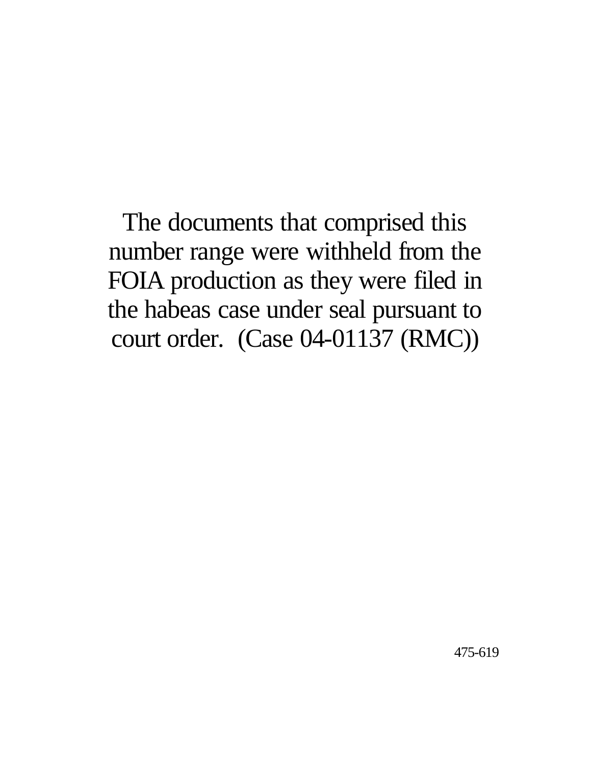The documents that comprised this number range were withheld from the FOIA production as they were filed in the habeas case under seal pursuant to court order. (Case 04-01137 (RMC))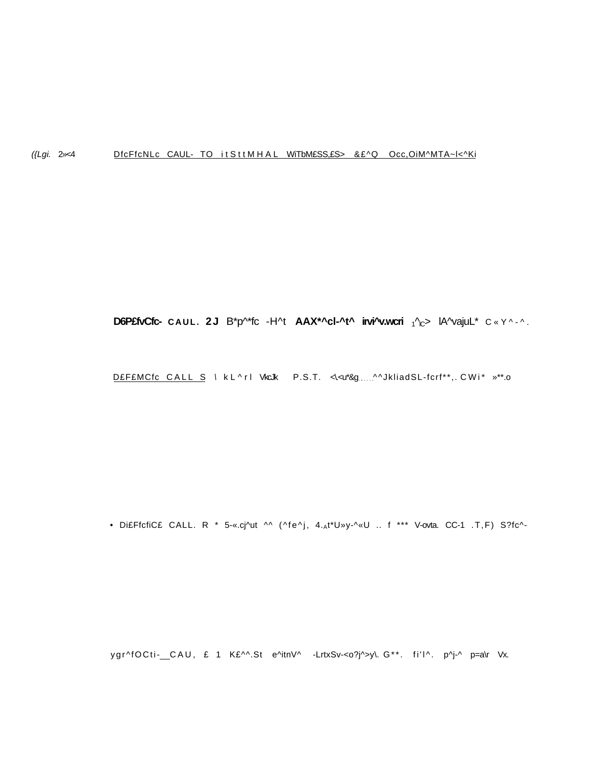#### ({Lgi. 2><4 DfcFfcNLc CAUL- TO itSttMHAL WiTbMESS, £S> & £^Q Occ, OiM^MTA~I<^Ki

D6P£fvCfc- CAUL. 2J B\*p^\*fc -H^t AAX\*^cl-^t^ irvi^v.wcri <sub>1</sub>^<sub>c</sub>> lA^vajuL\* C « Y ^ - ^.

DEFEMCfc CALL S | kL^rl VkcJk P.S.T. <\<u\*&g.....^^JkliadSL-fcrf\*\*,. CWi\* »\*\*.o

· Di£FfcfiC£ CALL. R \* 5-«.cj^ut ^^ (^fe^j, 4.At\*U»y-^«U .. f \*\*\* V-ovta. CC-1 .T,F) S?fc^-

ygr^fOCti-\_CAU, £ 1 K£^^.St e^itnV^ -LrtxSv-<o?j^>y\.G\*\*. fi'l^. p^j-^ p=a\r Vx.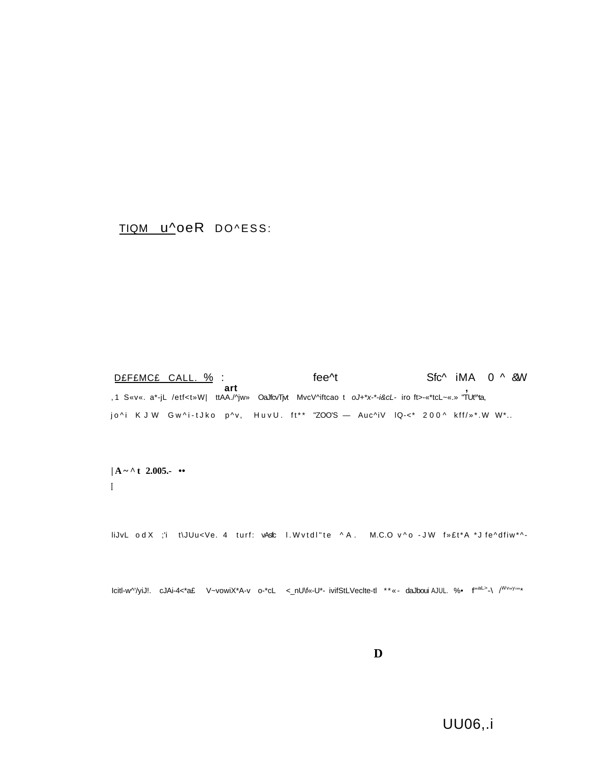### TIQM U^OeR DO^ESS:

DEFEMCE CALL. % : fee^t Sfc^ iMA 0 ^ &W art ,1 S«v«. a\*-jL /etf<t»W| ttAA./^jw» OaJfcvTjvt MvcV^iftcao t oJ+\*x-\*-i&cL- iro ft>-«\*tcL~«.» "TUt^ta, jo^i KJW Gw^i-tJko p^v, HuvU. ft\*\* "ZOO'S - Auc^iV IQ-<\* 200^ kff/»\*.W W\*..

 $|A - 12.005 - \cdots$  $\mathbf{I}$ 

liJvL odX ;'i t\JUu<Ve. 4 turf: vAsfc I.Wvtdl"te ^A. M.C.O v^o -JW fȣt\*A \*J fe^dfiw\*^-

Icitl-w^'/yiJ!. cJAi-4<\*a£ V~vowiX\*A-v o-\*cL <\_nU\f«-U\*- ivifStLVecIte-tl \*\*«- daJboui AJUL. %• f"aL>-\ /<sup>Wv</sup>"Y"\*

D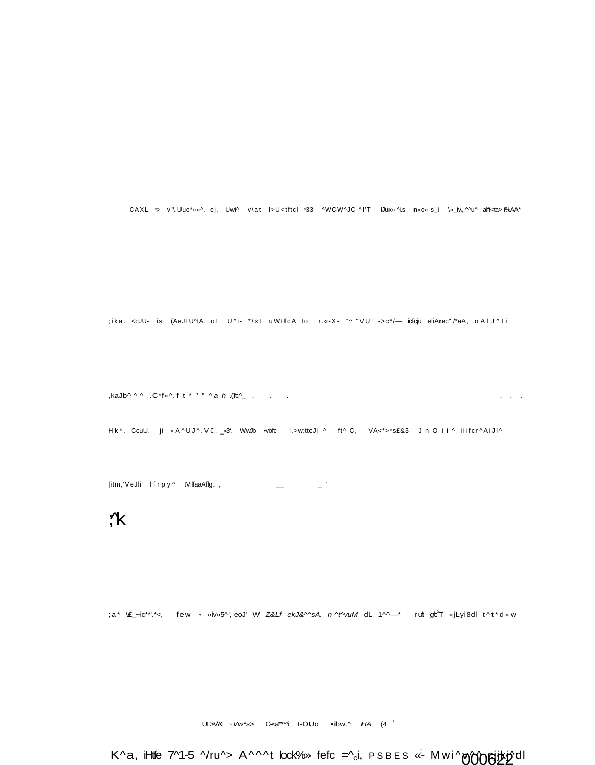CAXL \*> v"\.Uuo\*»»^. ej. Uwi^- v\at l>U<tftcl \*33 ^WCW^JC-^I'T LJux»-^i.s n«o«-s\_i \»\_iv<sub>v</sub>.^^u^ alft<ta>-i%AA\*

```
; ika. <cJU- is (AeJLU^tA. oL U^i- *\ «t uWtfcA to r. «-X- "^. "VU ->c*/- iddiu eliArec"./*aA, oAlJ^ti
```
,kaJb^-^-^-  $C^*f$ «^ f t \* " " ^ a h (fc^\_ . . . . .

Hk\*. CcuU. ji «A^UJ^.V€. \_«3f. Ww.b • vofc- l.>w:ttcJi ^ ft^-C, VA<\*>\*s£&3 Jn O ii ^ iiifcr^AiJl^

 $\sim 10^4$  km s  $^{-1}$ 

### **八**

a\* \£\_~ic\*\*'.\*<, - few- , «iv»5^|,-eoJ' W Z&Lf ekJ&^^sA. n-^t^vuM dL 1^^--\* - ruft gfcT «jLyi8dl t^t\*d «w;

UL>V& ~ $Vw^*s$ > C<a $w^*w$  t-OUo •ibw.^ HA (4<sup>1</sup>)

K^a, iHte 7^1-5 ^/ru^> A^^^t lock%» fefc =^d, PSBES «- Mwi^0000jbpd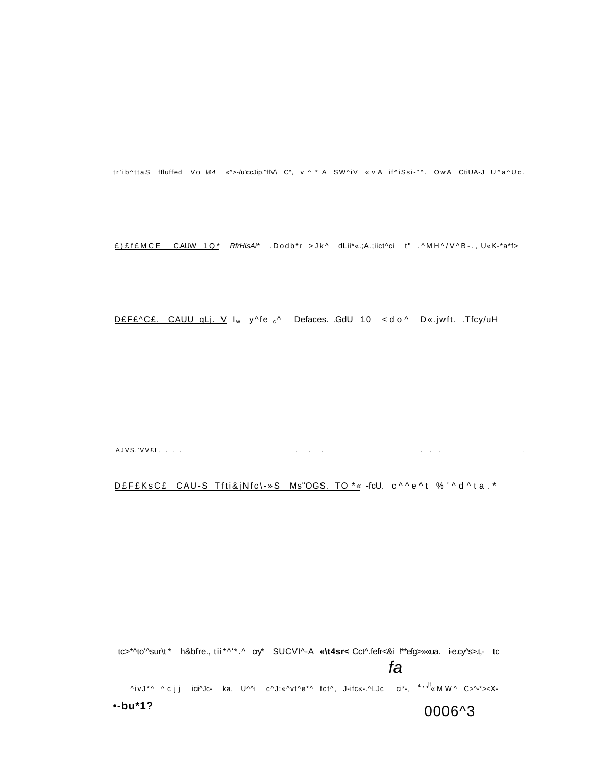tr'ib^ttaS ffluffed Vo \&4\_ «^>-/u'ccJip."ffV\ C^, v ^ \* A SW^iV « v A if^iSsi-"^. OwA CtiUA-J U^a^Uc.

£) £1 £ MCE CAUW 1 Q\* RfrHisAi\* . Dodb\*r > Jk^ dLii\*«.;A.;iict^ci t" . ^ MH^/V^B-., U«K-\*a\*f>

DEFE^CE. CAUU gLj. V Iw y^fe c^ Defaces. GdU 10 < do ^ D«.jwft. .Tfcy/uH

AJVS.'VV£L, . . .  $\mathcal{L}(\mathcal{L}(\mathcal{L}(\mathcal{L}(\mathcal{L}(\mathcal{L}(\mathcal{L}(\mathcal{L}(\mathcal{L}(\mathcal{L}(\mathcal{L}(\mathcal{L}(\mathcal{L}(\mathcal{L}(\mathcal{L}(\mathcal{L}(\mathcal{L}(\mathcal{L}(\mathcal{L}(\mathcal{L}(\mathcal{L}(\mathcal{L}(\mathcal{L}(\mathcal{L}(\mathcal{L}(\mathcal{L}(\mathcal{L}(\mathcal{L}(\mathcal{L}(\mathcal{L}(\mathcal{L}(\mathcal{L}(\mathcal{L}(\mathcal{L}(\mathcal{L}(\mathcal{L}(\mathcal{$ the control of the state of the con-

DEFEKSCE CAU-S Tfti&jNfc\->S Ms"OGS. TO \*« -fcU. c^^e^t %'^d^ta. \*

tc>\*^to'^sur\t\* h&bfre., tii\*^'\*.^ ay\* SUCVI^-A «\t4sr< Cct^.fefr<&i !\*\*efg>»«ua. i-e.cy^s>.t,- tc fa

 $\wedge$ ivJ\*^ ^cjj ici^Jc- ka, U^^i c^J:«^vt^e\*^ fct^, J-ifc«-.^LJc. ci\*-,  $4 + \frac{1}{8}$ «MW^ C>^-\*><X-

0006^3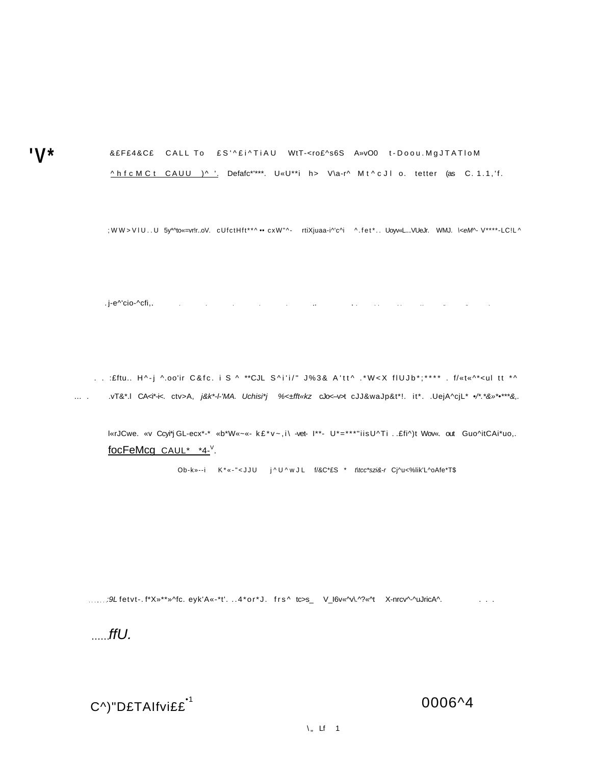$'V^*$ & EFE4& CE CALL To ES' ^ Ei^TiAU WtT-<roE^s6S A>>vO0 t-Doou.MgJTATIoM AhfcMCt CAUU ) A '. Defafc\*'\*\*\*. U «U\*\*i h> V\a-rA Mt AcJI o. tetter (as C. 1.1, 'f.

; WW>VIU..U 5y\*^to«=vrlr..oV. cUfctHft\*\*^ • cxW"^- rtiXjuaa-i^'c^i ^.fet\*.. Uoyv«L...VUeJr. WMJ. keM^-V\*\*\*\*-LC!L^

. j-e^'cio-^cfi,.  $\sim 10^{11}$  m  $^{-1}$  $\sim 10^{11}$ the contract of the contract of the contract of the contract of  $\sim 10^{11}$  m  $^{-1}$  $\sim 10^{11}$  m  $^{-1}$ 

... : £ftu.. H^-j ^.oo'ir C&fc. i S ^ \*\*CJL S^i'i/" J%3& A'tt^ .\*W<X flUJb\*;\*\*\*\* . f/«t«^\*<ul tt \*^ .vT&\*.I CA<i\*-i<. ctv>A, j&k\*-I-'MA. Uchisi\*j %<±fft«kz cJo<-v>t cJJ&waJp&t\*!. it\*. .UejA^cjL\* •/\*.\*&»\*•\*\*\*&,.  $\ldots$  .

I«rJCwe. «v Ccyi\*j GL-ecx\*-\* «b\*W«~«- k£\*v~, i\ -vet- I\*\*- U\*=\*\*\*"iisU^Ti ..£fi^)t Wov«. out Guo^itCAi\*uo,. focFeMcg CAUL\* \*4-V.

Ob-k»--i K\*«-"<JJU j^U^wJL f/&C\*£S \* tłtcc\*szi&-r Cj^u<%lik'L^oAfe\*T\$

........:9Lfetvt-.f\*X»\*\*»^fc.eyk'A«-\*t'...4\*or\*J.frs^tc>s\_V\_l6v«^v\.^?«^t X-nrcv^-^uJricA^.  $\sim 100$  .

 $ffU$ .

C^)"D£TAIfvi££"

0006^4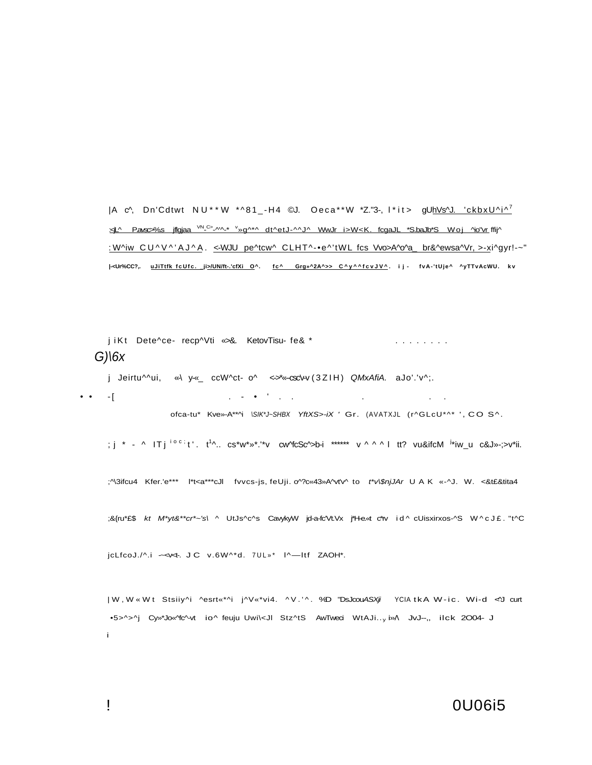|A c, Dn'Cdtwt NU\*\*W \*^81\_-H4 @J. Oeca\*\*W \*Z."3-, I\*it> gUhVs^J. 'ckbxU^i^7 :4<sup>A</sup> Pavsc>%s jflgjaa <sup>VN\_C>\_AVA.\* V<sub></sub>>gA\*A dtAetJ-AAJA WwJr i>W<K. fcgaJL \*S.baJb\*S Woj Aio"vr\_ffijA</sup> : W^iw CU^V^'AJ^A. <- WJU pe^tcw^ CLHT^-..e^'tWL fcs Vvo>A^o^a\_ br&^ewsa^Vr, >-xi^gyr!-~" -Ur%CC?, udiTtfk fcUfc. ji>/UN/ft-'cfXi Q^. fc^ Grg»^2A^>> C^y^^fcvJV^. ij- fvA-'tUje^ ^yTTvAcWU. kv

jiKt Dete^ce- recp^Vti «>&. KetovTisu- fe& \*  $\mathcal{L}^{\mathcal{L}}(\mathcal{L}^{\mathcal{L}}(\mathcal{L}^{\mathcal{L}}(\mathcal{L}^{\mathcal{L}}(\mathcal{L}^{\mathcal{L}}(\mathcal{L}^{\mathcal{L}}(\mathcal{L}^{\mathcal{L}}(\mathcal{L}^{\mathcal{L}}(\mathcal{L}^{\mathcal{L}}(\mathcal{L}^{\mathcal{L}}(\mathcal{L}^{\mathcal{L}}(\mathcal{L}^{\mathcal{L}}(\mathcal{L}^{\mathcal{L}}(\mathcal{L}^{\mathcal{L}}(\mathcal{L}^{\mathcal{L}}(\mathcal{L}^{\mathcal{L}}(\mathcal{L}^{\mathcal{L$  $G$ <sup> $\delta$ </sup>

j Jeirtu<sup>^^</sup>ui, « y-«\_ ccW^ct- o^ <>\*«-csc/vv (3ZIH) QMxAfiA. aJo'.'v^;.

 $\mathcal{L}^{\mathcal{A}}$  , and  $\mathcal{A}^{\mathcal{A}}$  , and  $\mathcal{A}^{\mathcal{A}}$ 

 $\bullet$   $\bullet$   $\bullet$   $\bullet$   $\bullet$ 

ofca-tu\* Kve»-A\*\*^i \S/K\*J~SHBX YftXS>-iX ' Gr. (AVATXJL (r^GLcU\*^\* ', CO S^.

 $\sim 10^{-11}$  km  $^{-1}$ 

; j \* - ^ IT j <sup>i o c</sup> i t'. t<sup>1</sup>^.. cs\*w\*»\*.'\*v cw^fcSc^>b-i \*\*\*\*\*\* v ^ ^ ^ I tt? vu&ifcM <sup>j</sup>\*iw\_u c&J»-;>v\*ii.

;^\3ifcu4 Kfer.'e\*\*\* I\*t<a\*\*\*cJl fvvcs-js, feUji. o^?c«43»A^vtv^ to t\*v\\$njJAr U A K «-^J. W. <&t£&tita4

;&{ru\*£\$ kt M\*yt&\*\*cr\*~'s\ ^ UtJs^c^s CavykyW jd-a-fc'Vt.Vx j\*He.«t c\*iv id^ cUisxirxos-^S W^cJ£. "t^C

jcLfcoJ./^.i - < v<t-. J C v.6W^\*d. 7UL»\* I^-Itf ZAOH\*.

| W, W « W t Stsiiy^i ^esrt «\*^i j^V «\*vi4. ^ V. '^. %D "DsJcouASXji YCIA tkA W-ic. Wi-d < J curt .5>^>^j Cy»\*Jo«Mc^vt io^ feuju Uwi\<JI Stz^tS AwTwed WtAJi..yi»^ JvJ--,, ilck 2004- J i.

**0U06i5**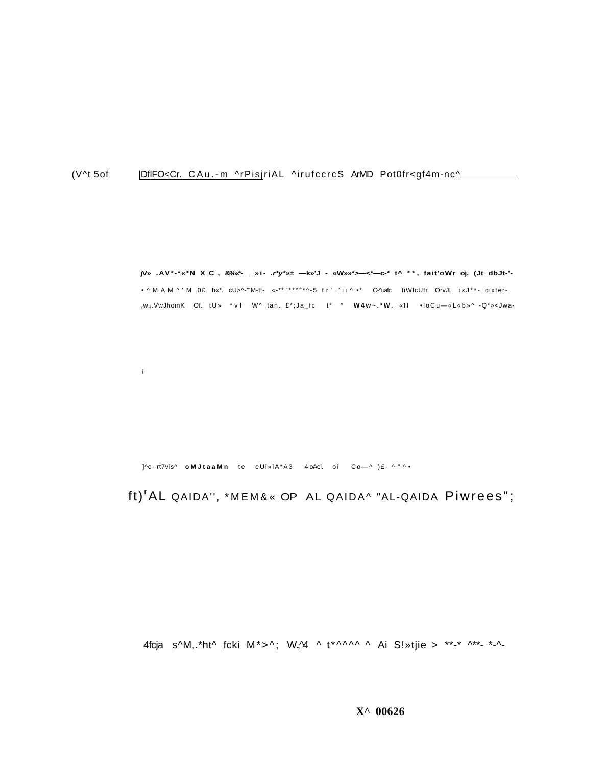#### $X^{\wedge} 00626$

4fcja\_s^M, \*ht^\_fcki M\*>^; W,^4 ^ t\*^^^^ ^ Ai S!»tjie > \*\*-\* ^\*\*- \*-^-

ft)'AL QAIDA", \*MEM&« OP AL QAIDA^ "AL-QAIDA PIWTEES";

]^e--rt7vis^ oMJtaaMn te eUi»iA\*A3 4-oAei. oi Co-^ )£- ^ " ^ •

jV» .AV\*-\*«\*N X C, &%«\*-\_ »i- .r\*y\*»± -k»'J - «W»»\*>-<\*--c-\* t^ \*\*, fait'oWr oj. (Jt dbJt-'-• ^ M A M ^ ' M O£ b«\*. cU>^-"M-tt- «-\*\* '\*\*^<sup>4</sup>\*^-5 tr'.'ii^ •\* O^uafc fiWfcUtr OrvJL i«J\*\*- cixterw<sub>H</sub>.VwJhoinK Of. tU» \*vf W^ tan. £\*;Ja\_fc t\* ^ W4w~.\*W. «H •loCu—«L«b»^ -Q\*»<Jwa-

 $(V^t 5$ of DfIFO<Cr. CAu.-m ^rPisjriAL ^irufccrcS ArMD Pot0fr<gf4m-nc^-

 $\mathbf{i}$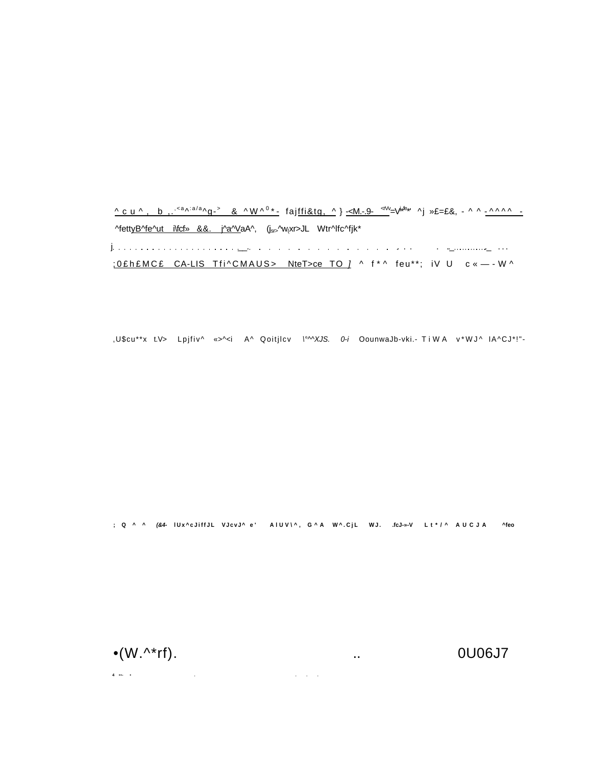$\sim$  cu  $\land$ , b,  $\sim$  sa alsalang -> &  $\land$  W $\land$ <sup>0\*</sup> - fajffi&tg,  $\land$  } -< M. -.9-  $\frac{dN}{dx}$  - $\sqrt{m}$  +  $\frac{dN}{dx}$  +  $\land$   $\frac{dN}{dx}$  =  $f$  &,  $\land$   $\land$  - $\land$   $\land$   $\land$   $\land$  - $\land$ ^fettyB^fe^ut Nfcf» &&. j^a^VaA^, (j<sub>sr></sub>^w<sub>(</sub>xr>JL Wtr^lfc^fjk\* الممال وسيستشوق المالي الممامي والمالي والمتمام والمتماز والمتماز والمناور والمتماز والمتماز والمتماز والمتماري : Of hem CE CA-LIS Tfi^CMAUS> NteT>ce TO ] ^ f\*^ feu\*\*; iV U c < -- W ^

, U\$cu\*\*x t.V> Lpjfiv^ «>^<i A^ Qoitjlcv \%XJS. 0-i OounwaJb-vki.- TiWA v\*WJ^ IA^CJ\*!"-

; Q ^ ^ (&4-IUx^cJiffJL VJcvJ^ e' AIUV\^, G ^ A W ^ CjL WJ. .fcJ-»-V L t \* / ^ AUCJA ^feo

 $\bullet$ (W.^\*rf). 0U06J7 and the company of  $\frac{1}{2}$  and  $\frac{1}{2}$  and  $\frac{1}{2}$  and  $\frac{1}{2}$  and  $\frac{1}{2}$  and  $\frac{1}{2}$  and  $\frac{1}{2}$  and  $\frac{1}{2}$  and  $\frac{1}{2}$  and  $\frac{1}{2}$  and  $\frac{1}{2}$  and  $\frac{1}{2}$  and  $\frac{1}{2}$  and  $\frac{1}{2}$  and  $\frac{1}{2}$  and  $\frac{1}{2}$  a  $\mathcal{L}^{\text{max}}_{\text{max}}$  and  $\mathcal{L}^{\text{max}}_{\text{max}}$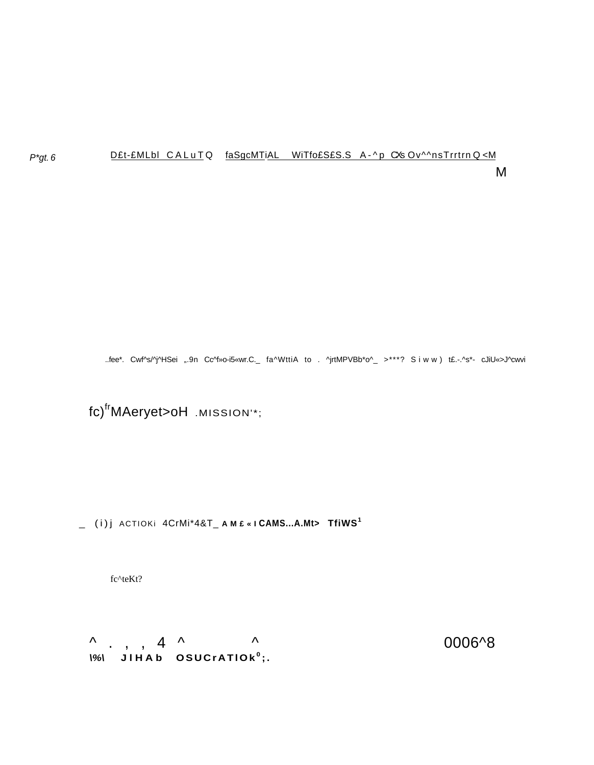#### DEt-EMLbI CALuTQ faSgcMTiAL WiTfoESES.S A-^p CXs Ov^^nsTrrtrn Q<M  $P^*$ gt. 6 M

..fee\*. Cwf^s/^j^HSei ".9n Cc^f»o-i5«wr.C.\_ fa^WttiA to . ^jrtMPVBb\*o^\_ >\*\*\*? Siww) t£.-.^s\*- cJiU«>J^cwvi

fc)<sup>fr</sup>MAeryet>oH . MISSION'\*;

\_ (i)j ACTIOKi 4CrMi\*4&T\_AME «ICAMS...A.Mt> TfiWS<sup>1</sup>

 $fc^{\text{A}}$ te $Kt$ ?

 $\begin{array}{ccc} \wedge & , , , A \wedge & \wedge \\ \wedge \swarrow & , \swarrow & \wedge \\ \swarrow & \swarrow & \swarrow \end{array}$ 

0006^8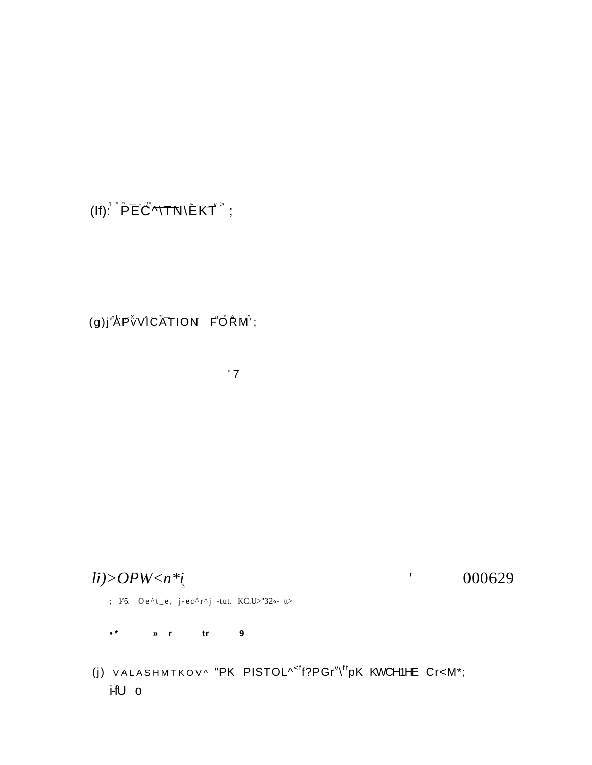### $($ lf):  $\hat{P}$ EC<sup> $\wedge$ </sup>\TN\EKT  $\hat{P}$ ;

(g)j'APVICATION FORM;

 $'7$ 

### $li$  > OPW  $\langle n^*i \rangle$

000629

 $\mathbf{E}(\mathbf{r})$ 

;  $1^{\circ}5$ .  $0e^{\lambda}t_{e}$ ,  $j$ - $ec^{\lambda}r^{\lambda}j$  -tut. KC.U>"32«- tt>

 $\bullet$  \*  $\mathbf{v}$  r  $tr$  $\overline{9}$ 

(j) VALASHMTKOV^ "PK PISTOL^<sup><f</sup>f?PGr<sup>v\ft</sup>pK KWCH1HE Cr<M\*; i-fU o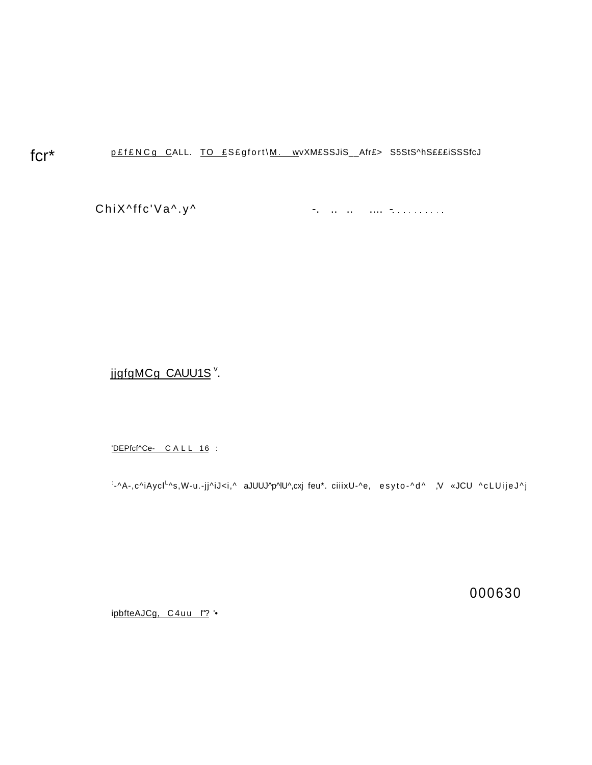### fcr\* petency call. To esegfort\M. wvXMESSJiS\_Afre> S5StS^hSEEEiSSSfcJ

ChiX^ffc'Va^.y^

of the company of the transaction

jjgfgMCg CAUU1S<sup>v</sup>.

'DEPfcf^Ce- CALL 16 :

-A-,c^iAycl<sup>L</sup>^s,W-u.-jj^iJ<i,^ aJUUJ^p^IU^,cxj feu\*.ciiixU-^e, esyto-^d^ ,V «JCU ^cLUijeJ^j

000630

ipbfteAJCg, C4uu I"? '.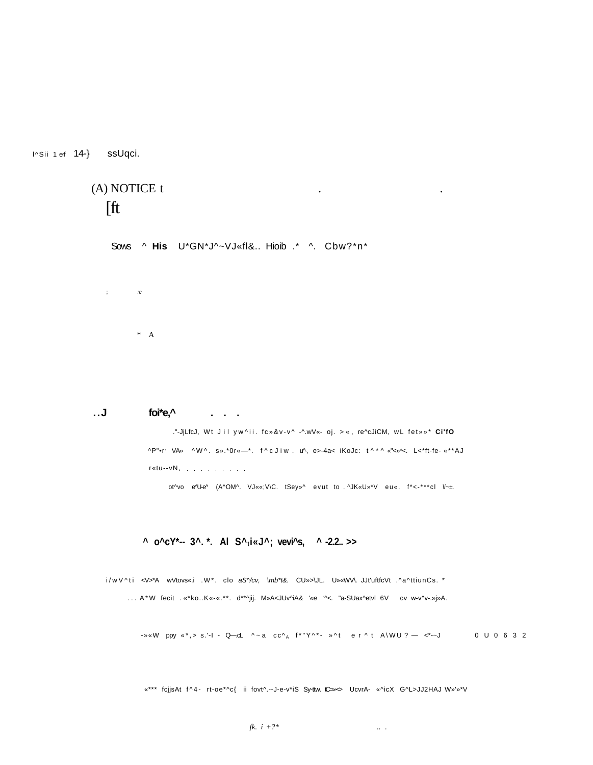I^Sii 1 ef 14-} ssUqci.

### (A) NOTICE t  $[**ft**]$

 $\vdots$   $\vdots$   $\vdots$ 

Sows ^ His U\*GN\*J^~VJ«fl&.. Hioib .\* ^. Cbw?\*n\*

# $\ast$  A

#### $\mathsf{L}$ foi\*e, $\wedge$  . . .

"-JiLfcJ, Wt Jil yw^ii. fc > & v-v^ -^.wV«- oj. > «, re^cJiCM, wL fet > >\* Ci'fO ^P". VA» ^W^. s».\*Or«-\*. f^cJiw. u^, e>-4a< iKoJc: t^\*^ «"<»\*<. L<\*ft-fe- «\*\*AJ  $r$ «tu--v $N$ 

 $\sim 10^{-10}$ 

 $\sim 10$ 

ot^vo eNe^ (A^OM^. VJ««;V\C. tSey»^ evut to ^JK«U»\*V eu«. f\*<-\*\*\*cl V~±.

#### $\wedge$  o $\wedge$  cY\*-- 3 $\wedge$ . \*. Al S $\wedge$ <sub>t</sub> i « J $\wedge$ ; vevi $\wedge$ s.  $\wedge$  -2.2. >>

i/wV^ti <V>\*A wVtovs«.i .W\*. clo aS^/cv, \mb\*t&. CU»>\JL. U»«WV\. JJt'uftfcVt .^a^ttiunCs. \* ... A\*W fecit . «\*ko..K«-«.\*\*. d\*\*^jij. M»A<JUv^iA& '«e '^<. "a-SUax^etvl 6V cv w-v^v-.»j»A.

-  $\sqrt{x}$  w W ppy  $x^* > 5$ . I - Q—d ^ ~ a cc^<sub>a</sub> f<sup>\*</sup>  $\gamma^*$  \* -  $\sqrt{x}$  e r ^ t A \WU ? — <  $\sqrt{x}$  - 0 U 0 6 3 2

 $\sim$   $\sim$ 

«\*\*\* fcjjsAt f^4- rt-oe\*^c{ ii fovt^.--J-e-v\*iS Sy-ttw. tC=«<> UcvrA- «^icX G^L>JJ2HAJ W»'»\*V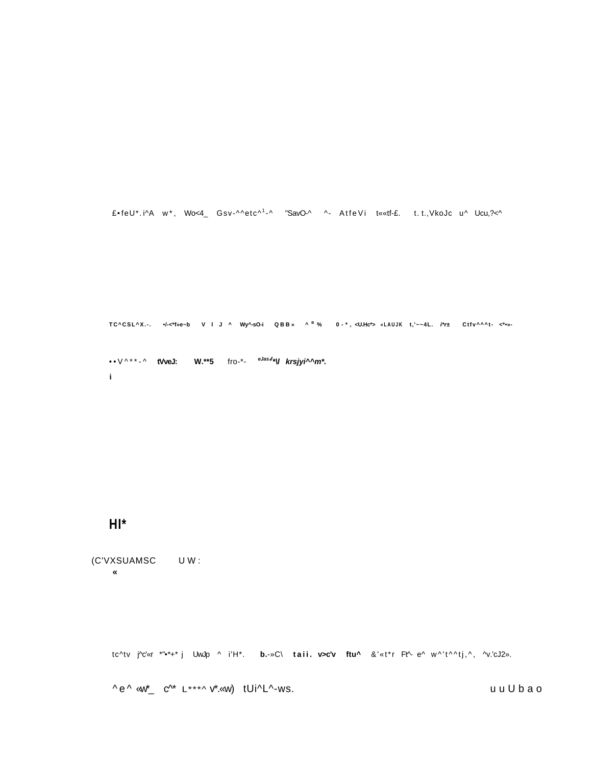tc^tv j^c'«r \*"•\*+\* j UwJp ^ i'H\*. b.-»C\ taii. v>c'v ftu^ &'«t\*r Ft^ e^ w^'t^^tj,^, ^v.'cJ2».

(C'VXSUAMSC UW:  $\pmb{\alpha}$ 

### $H I^*$

```
\bullet\bullet\vee\wedge^{\star\,*}-\wedge tVveJ: W.**5 fro-*- <sup>eJas f</sup>*V krsjyi^^m*.
\mathbf{i}
```

```
TC^CSL^X.-. •/-<*f»e-b V I J ^ Wy^-sO-i QBB » ^ B % 0-*, <U.Hc*> «LAUJK t,'~~4L. i*r± Ctfv^^^t- <**»-
```

```
£.feU*.i^A w*, Wo<4_ Gsv-^^etc^<sup>1</sup>-^ "SavO^ ^- AtfeVi t««tf-£. t.t.,VkoJc u^ Ucu,?<^
```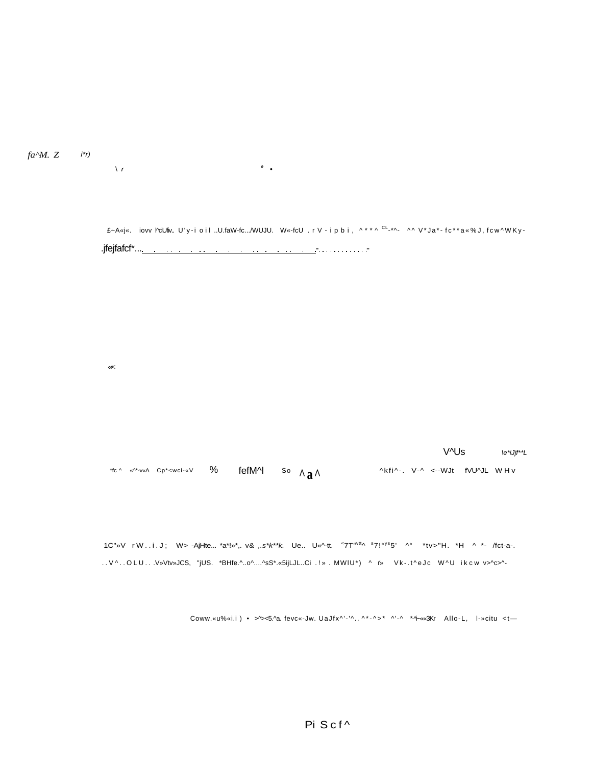$fa^{\wedge}M$ . Z  $i^{\star}r$ )

 $\sqrt{r}$ 

 $\ll$ 

£-A«j«. iovv MoUfiv.. U'y-i o il ..U.faW-fc.../WUJU. W«-fcU .rV-ipbi, ^\*\*^ <sup>CL\_\*</sup>^- ^^ V\*Ja\*-fc\*\*a«%J,fcw^WKy-

 $e$  .

 $V^{\wedge}Us$   $\qquad$   $\qquad$   $\qquad$   $\qquad$   $\qquad$   $\qquad$   $\qquad$   $\qquad$   $\qquad$   $\qquad$   $\qquad$   $\qquad$   $\qquad$   $\qquad$   $\qquad$   $\qquad$   $\qquad$   $\qquad$   $\qquad$   $\qquad$   $\qquad$   $\qquad$   $\qquad$   $\qquad$   $\qquad$   $\qquad$   $\qquad$   $\qquad$   $\qquad$   $\qquad$   $\qquad$   $\qquad$   $\qquad$   $\qquad$   $\qquad$  \*tc^ «^\*-v«A Cp\*<wci-«V % fefM^l So  $\Lambda$ <sup>2</sup> ^kfi^-. V-^ <--WJt fVU^JL WHv

1C"»V rW..i.J; W> -AjHte... \*a\*!»\*, v& ,.s\*k\*\*k. Ue.. U«^-tt. `7T"\*<sup>tt</sup>^ \*7!°<sup>y\$</sup>5' ^° \*tv>"H. \*H ^ \*- /fct-a-. ..V^..OLU...V»Vtv»JCS, "jUS. \*BHfe.^.o^...^sS\*.«5ijLJL..Ci.!».MWIU\*) ^ \* Vk-t^eJc W^U ikcw v>^c>^-

Coww. «u%«i.i) • >><5.^a. fevc «-Jw. UaJfx^'-'^.. ^\*-^>\* ^'-^ \*\*-\*«<3Kr Allo-L, l-»citu <t-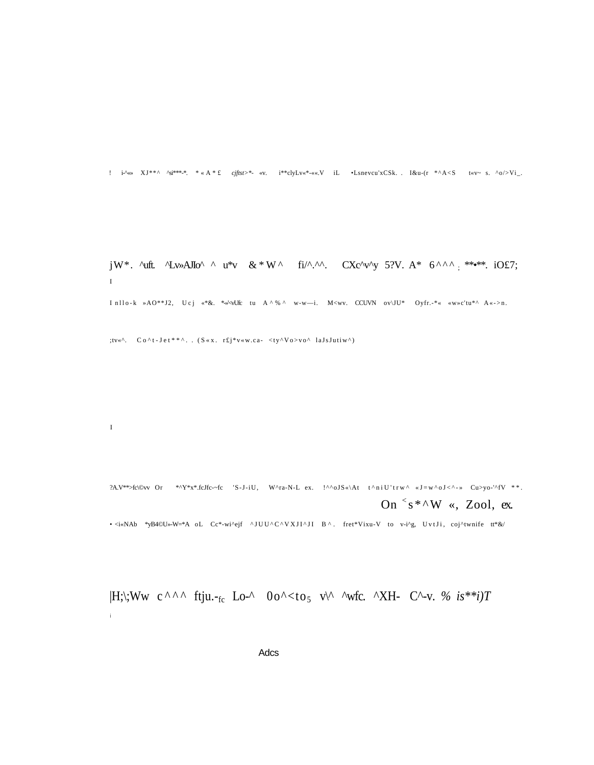$iW^*$ . Auft. ALV»AJIO<sup> $\land$ </sup> u<sup>\*</sup>v & \* W  $\land$  fi/ $\land \land \land$ . CXc $\land \lor \lor$  5?V. A\* 6  $\land \land \land$ . \*\*\*\*. iO£7;  $\mathbf{I}$ 

Inllo-k »AO\*\*J2, Ucj «\*&. \*»<br/>xUfc tu A^%^ w-w-i. M<wv. CCUVN ov\JU\* Oyfr.\*« «w»c'tu\*^ A<->n.

; tv«^. Co^t-Jet\*\*^.. (S«x. r£j\*v«w.ca- <ty^Vo>vo^ laJsJutiw^)

 $\mathbf I$ 

?A.V\*\*>fc\©w Or \*^Y\*x\*.fcJfc-~fc 'S-J-iU, W^ra-N-L ex. !^^oJS«\At t^niU'trw^ «J=w^oJ<^-» Cu>yo-'^fV \*\*.

#### On  $\leq$  s  $* \wedge W \leq$ , Zool, ex.

• <i«NAb \*yB4©U»-W=\*A oL Cc\*-wi^ejf ^JUU^C^VXJI^JI B^. fret\*Vixu-V to v-i^g, UvtJi, coj^twnife tt\*&/

 $|H\rangle$ ; Ww c<sup> $\wedge \wedge \wedge$ </sup> ftju.-<sub>fc</sub> Lo- $\wedge$  00 $\wedge$  <to<sub>5</sub> v| $\wedge$  ^wfc. ^XH- C^-v. % is\*\*i)T  $\mathbf{j}$  .

Adcs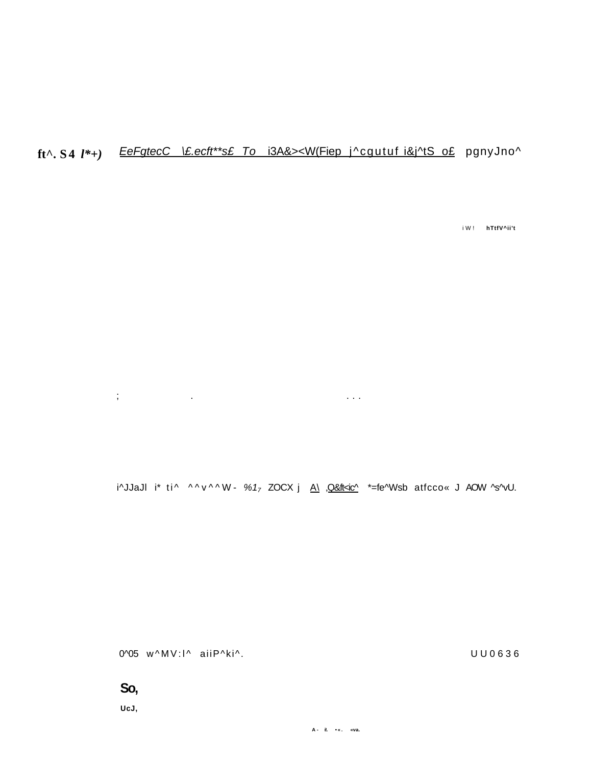### ft^. S4  $l^*$ +) EeFgtecC \£.ecft\*\*s£ To i3A&><W(Fiep j^cgutuf i&j^tS o£ pgnyJno^

iW! hTtfV^ii't

i^JJaJI i\* ti^ ^^v^^W- %17 ZOCX j A\ , Q&ft<ic^ \*=fe^Wsb atfcco« J AOW ^s^vU.

**Contractor** 

0^05 w^MV:I^ aiiP^ki^.

 $\frac{1}{2}$  , and  $\frac{1}{2}$  , and  $\frac{1}{2}$  , and  $\frac{1}{2}$ 

#### **UU0636**

### So,

UcJ,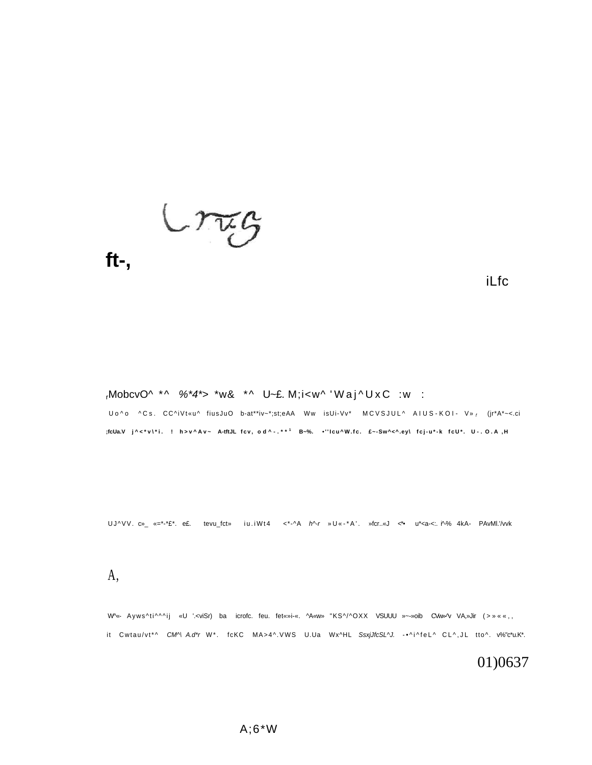$T\mathcal{U}G$ 

## ft-,

iLfc

### $-MobcvO^* \sim \%^4$ '> \*w& \*^ U~£. M;i<w^ 'Waj^UxC :w :

Uo^o ^Cs. CC^iVt«u^ fiusJuO b-at\*\*iv~\*;st;eAA Ww isUi-Vv\* MCVSJUL^ AIUS-KOI- V», (jr\*A\*~<.ci ;fcUa.V j^<\*v\\*i. ! h>v^Av~ A-tftJL fcv, od^-.\*\*<sup>1</sup> B~%. .\*'Icu^W.fc. £~-Sw^<^.ey\ fcj-u\*-k fcU\*. U-. O.A ,H

UJ^VV. c»\_ «=\*-\*£\*. e£. tevu\_fct» iu.iWt4 <\*-^A h^-r »U«-\*A'. »fcr..«J <\* u\*<a-<:. i^% 4kA- PAvMI.'/wk

### A,

WA Ayws^ti^^^ij «U '.<viSr) ba icrofc. feu. fet«»i-«. ^A«w» "KS^/^OXX VSUUU »~-»oib CWw>V VA,»Jir (> » « «,, it Cwtau/vt\*^ CM^I A.d\*r W\*. fcKC MA>4^.VWS U.Ua Wx^HL SsxjJfcSL^J. -.^i^feL^ CL^,JL tto^. v%"c\*u.K\*.

01)0637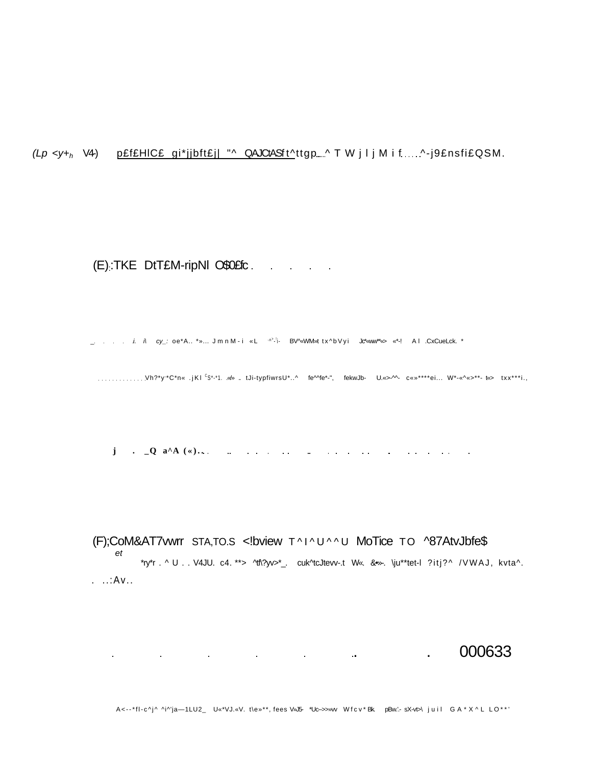### (Lp <y+<sub>h</sub> V4) peterance gi\*jjbft Ej| "^ QAJCtASt<sup>1</sup>(tgp ... ^ T W j I j M i f... . ^ - j9 £nsfi £ Q S M .

### (E):TKE DtT£M-ripNI O\$0£fc.

(F);CoM&AT7wrr STA,TO.S <! bview T^I^U^^U MoTice TO ^87AtvJbfe\$  ${\it et}$ \*ry\*r. ^ U. . V4JU. c4. \*\*> ^tf\?yv>\*\_. cuk^tcJtevv-.t W«. &\*»-. \ju\*\*tet-l ?itj?^ /VWAJ, kvta^.  $\ldots$  $\mathsf{Av} \ldots$ 

 $\sim 10^{11}$  and  $\sim 10^{11}$ 

 $\mathcal{L}^{\text{max}}$  and  $\mathcal{L}^{\text{max}}$  .

 $\mathbf{a} = \mathbf{a} \times \mathbf{b}$ 

 $\mathcal{L}^{\text{max}}(\mathbf{a},\mathbf{b})$  . The  $\mathcal{L}^{\text{max}}(\mathbf{a},\mathbf{b})$ 

### 000633

A<--\*fl-c^j^ ^i^'ja-1LU2\_ U«\*VJ.«V. t\e»\*\*, fees V»J5 \*Uc->>>>w Wfcv\*Bk pBw'.- sX-vb\ juil GA \* X ^ L LO\*\*'

and a state of the state of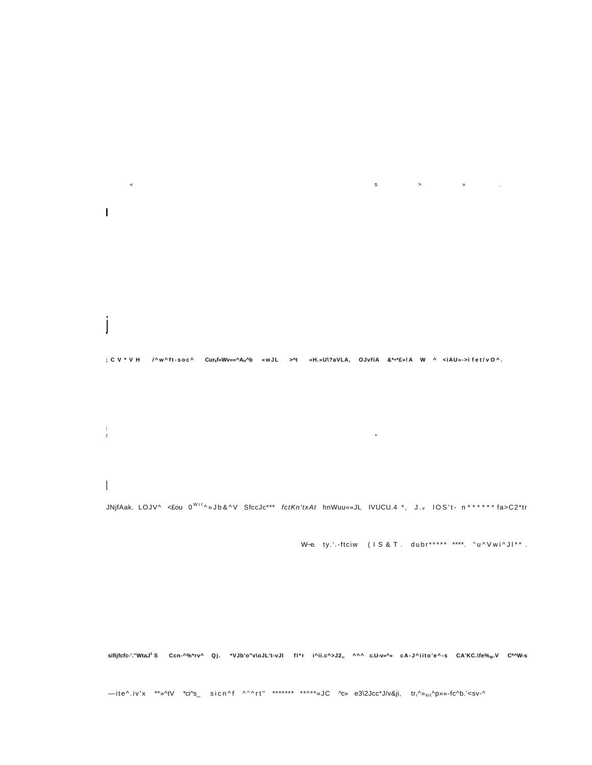$\mathcal{L}(\mathcal{L}(\mathcal{L}(\mathcal{L}(\mathcal{L}(\mathcal{L}(\mathcal{L}(\mathcal{L}(\mathcal{L}(\mathcal{L}(\mathcal{L}(\mathcal{L}(\mathcal{L}(\mathcal{L}(\mathcal{L}(\mathcal{L}(\mathcal{L}(\mathcal{L}(\mathcal{L}(\mathcal{L}(\mathcal{L}(\mathcal{L}(\mathcal{L}(\mathcal{L}(\mathcal{L}(\mathcal{L}(\mathcal{L}(\mathcal{L}(\mathcal{L}(\mathcal{L}(\mathcal{L}(\mathcal{L}(\mathcal{L}(\mathcal{L}(\mathcal{L}(\mathcal{L}(\mathcal{$ 

 $\frac{\mathrm{i}}{\mathrm{J}}$ 

 $\overline{1}$ 

 $\mathbf{L}$ 

j

 $S \qquad \qquad \Rightarrow \qquad \qquad$  $\alpha$ 

; CV \* V H / ^ w^ft-soc^ Cursf«Wv««^A<sub>H</sub>^b «wJL >^t «H.»U\?aVLA, OJvfiA &\*\*£»!A W ^ <iAU»->ifet/vO^.

JNjfAak. LOJV^ < Eou 0<sup>Wrt</sup>^ »Jb&^V SfccJc\*\*\* fctKn'txAt hnWuu««JL IVUCU.4 \*, J.# IOS't- n\*\*\*\*\*\* fa>C2\*tr

W-e. ty.'.-ftciw (IS&T. dubr\*\*\*\*\* \*\*\*\*. "u^Vwi^Jl\*\*.

sifijfcfc-""WtaJ'S Ccn-^%\*rv^ Qj. \*VJb'o"v\oJL't-vJl fl\*r i^ii.c^>J2, ^^^ c.U-v»^» cA-J^iito'e^-s CA'KC.Ye%M.V C\*^W-s

-ite^.iv'x \*\*»^tV \*ci^s\_ sicn^f ^"^rt" \*\*\*\*\*\*\* \*\*^\*\*«JC ^c» e3\2Jcc\*J/v&ji, tr<sub>r</sub>^»<sub>4rt</sub>^p»«-fc^b.'<sv-^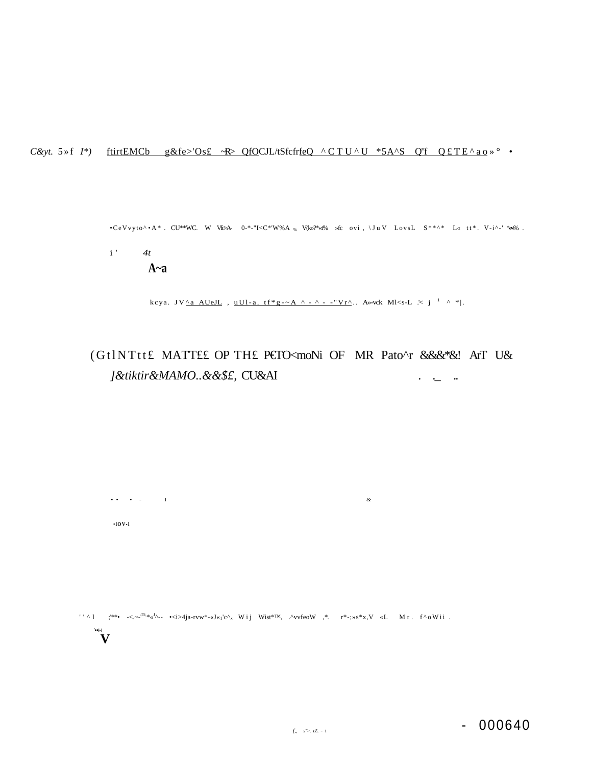#### C&yt. 5»f  $I^*$ ) furtEMCb g&fe>'Os£ R> QfQCJL/tSfcfrfeQ ^CTU^U \*5A^S Q'f Q£TE^ao » ·

. CeVvyto^.A\*. CU\*\*WC. W VEA 0-\*-"I<C\*'W%A & V(ko?\*<t% > vfc ovi, \JuV LovsL S\*\*^\* L« tt\*. V-i^-'\*\*\* C

 $i'$  4t

 $A \sim a$ 

 $\begin{aligned} \bullet\bullet\hspace{0.05in}\bullet\hspace{0.05in}\bullet\hspace{0.05in}\bullet\hspace{0.05in}\bullet\hspace{0.05in}\bullet\hspace{0.05in}\bullet\hspace{0.05in}\bullet\hspace{0.05in}\bullet\hspace{0.05in}\bullet\hspace{0.05in}\bullet\hspace{0.05in}\bullet\hspace{0.05in}\bullet\hspace{0.05in}\bullet\hspace{0.05in}\bullet\hspace{0.05in}\bullet\hspace{0.05in}\bullet\hspace{0.05in}\bullet\hspace{0.05in}\bullet\hspace{0.05in}\bullet\hs$ 

 $\cdot$ 10V-1

kcya. JV<u>^a AUeJL</u>, uUl-a. tf\*g-~A ^ - ^ - -"Vr^.. A»-vck Ml<s-L  $\leq j^{-1}$  ^ \*|.

#### (GtlNTtt£ MATT££ OP TH£ P€TO<moNi OF MR Pato^r &&&\*&! ArT U& ]&tiktir&MAMO..&&\$£, CU&AI  $\alpha$  ,  $\alpha$  ,  $\alpha$  ,  $\alpha$

 $\boldsymbol{\mathcal{A}}$ 

 $``\wedge 1 \quad \ \ ; ``\ast\bullet \quad \ \ -<\sim\hspace*{-.2cm} \cdot^{``\sharp\ast}\circ^l\hspace*{-.2cm} \cdot \quad \ \ \bullet <\mathrm{i}>4\mathrm{j} a\text{-}r\mathrm{v} w^* \cdot \kappa J\kappa_1\ ^\prime c^\Lambda\hspace*{-.2cm} x\ \ W\ i\ j\quad Wist^*{}^{\mathrm{TM}}\hspace*{-.2cm}\ ,\ \ \mathcal{N}\ \ \mathrm{v} t\mathrm{e}0W\quad, \ \ \stackrel{*}{\textstyle\quad} \quad r^*\text{-}\mathrm{v} s^*\mathrm{x}\,, V\quad \ \ \kappa L\q$  $\begin{array}{c}\n\ddots \\
\hline\n\end{array}$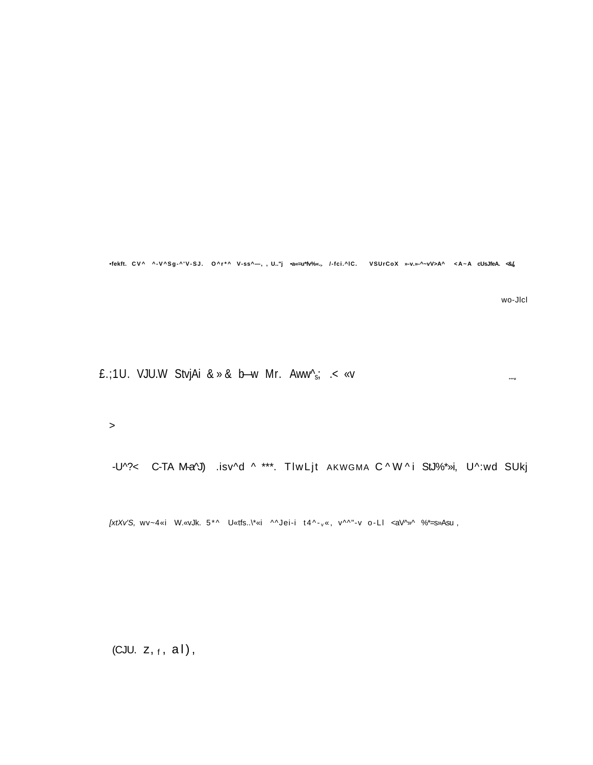"fekft. CV^ ^-V^Sg-^'V-SJ. O^r\*^ V-ss^--, , U.."j \*a«=u'fv%«,, /-fci.^IC. VSUrCoX »-v.»-^~vV>A^ <A~A cUsJfeA. <&

wo-Jlcl

 $\bullet\bullet\circ$ 

£.;1U. VJU.W StvjAi & » & b-w Mr. Aww^s; .< «v

 $\, >$ 

-U^?< C-TA Ma^J) .isv^d ^ \*\*\*. TlwLjt AKWGMA C ^ W ^ i StJ%\*»i, U^:wd SUkj

[xtXv'S, wv~4«i W.«vJk. 5\*^ U«tfs..\\*«i ^^Jei-i t4^-v«, v^^"-v o-Ll <aV^»^ %\*=s»Asu,

 $(CJU. z, f, al),$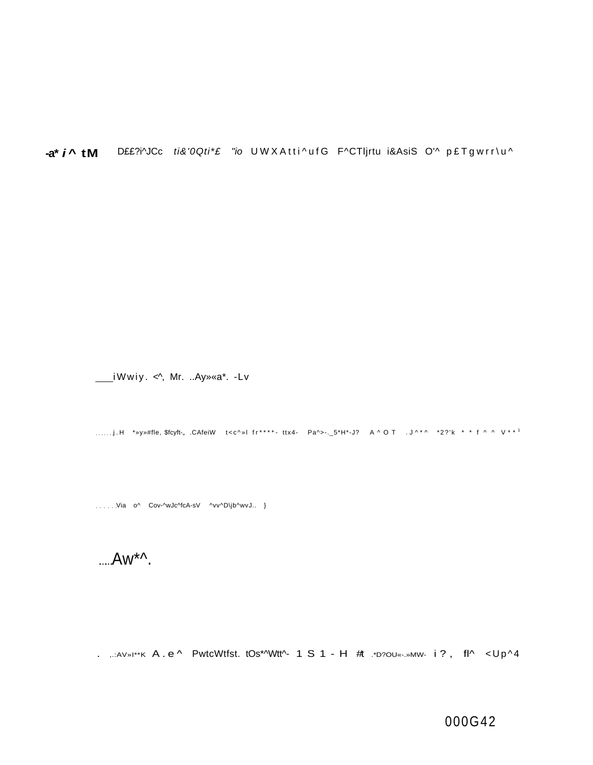-a\* *i*^ tM DEE?i^JCc ti&'0Qti\*£ "io UWXAtti^ufG F^CTIjrtu i&AsiS O'^ p£Tgwrr\u^

\_\_\_\_iWwiy. <^, Mr. ..Ay»«a\*. -Lv

.......j.H \*»y»#fle, \$fcyft-".CAfeiW t<c^»I fr\*\*\*\*- ttx4- Pa^>-.\_5\*H\*-J? A ^OT .J^\*^ \*2?'k \* \* f ^ ^ V \* \* 1

......Via o^ Cov-^wJc^fcA-sV ^vv^D\jb^wvJ.. }

 $M^*$ 

. ":AV»I\*\*K A.e^ PwtcWtfst. tOs\*^Wtt^ 1 S 1 - H # \*D?OU«-.»MW- i?, fl^ <Up^4

000G42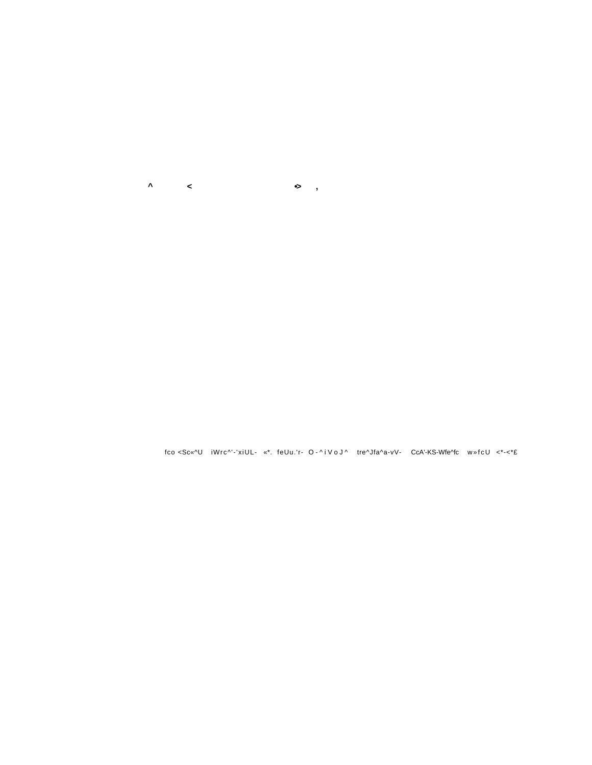fco <Sc«^U iWrc^'-'xiUL- «\*. feUu.'r- O-^iVoJ^ tre^Jfa^a-vV- CcA'-KS-Wfe^fc w»fcU <\*-<\*£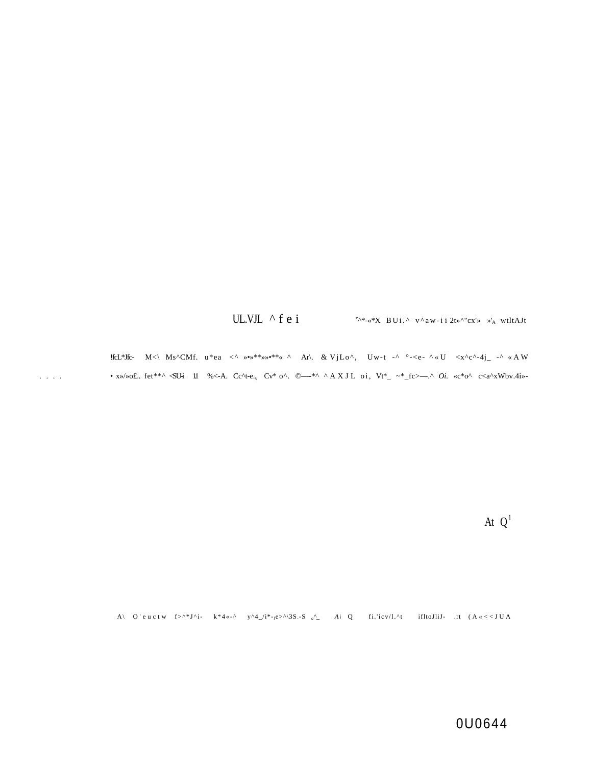UL.VIL ^ f e i  $\mathcal{L}_{\mathcal{N}^*}$   $\mathcal{L}_{\mathcal{N}^*}$  avis  $\mathcal{L}_{\mathcal{N}^*}$  avis  $\mathcal{L}_{\mathcal{N}^*}$  avis  $\mathcal{L}_{\mathcal{N}^*}$  avis  $\mathcal{L}_{\mathcal{N}^*}$  avis  $\mathcal{L}_{\mathcal{N}^*}$  avis  $\mathcal{L}_{\mathcal{N}^*}$ 

 $\text{!fcl}^{\ast}\text{!flc-}\quad M<\backslash\quad M\text{s}^{\wedge}\text{C}M\text{!}. \quad u^{\ast}\text{e}a \quad <\text{``}\quad\text{``}\quad\text{``}\quad\text{``}\quad\text{``}\quad\text{``}\quad\text{``}\quad\text{``}\quad\text{``}\quad\text{``}\quad\text{``}\quad\text{``}\quad\text{``}\quad\text{``}\quad\text{``}\quad\text{``}\quad\text{``}\quad\text{``}\quad\text{``}\quad\text{``}\quad\text{``}\quad\text{``}\quad\text{``}\quad\text{``}\quad\text{``}\quad\text{``}\quad\text{$ • x»/»of.. fet\*\*^ <SUi 11 %<-A. Cc^t-e., Cv\* o^. ©—\*^ ^A X J L oi, Vt\*\_ ~\*\_fc>—.^ Oi. «c\*o^ c<a^xWbv.4i»-

 $\mathcal{A}^{\mathcal{A}}$  ,  $\mathcal{A}^{\mathcal{A}}$  ,  $\mathcal{A}^{\mathcal{A}}$ 

At  $Q^1$ 

A) O'euctw  $f > \lambda * J \lambda i$ -  $k * 4 \alpha - \gamma / 4$   $j * 4 - j * 3S - S$   $\lambda$   $A$  Q fi.'icv/l.'t if its distribution in  $A \alpha << JUA$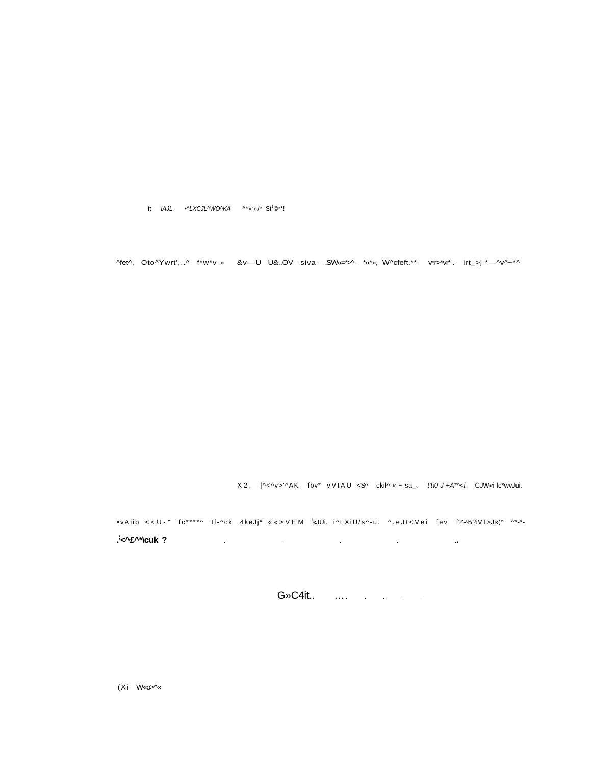it IAJL. *•*NXCJL^WO^KA. ^\*«`»/\* St<sup>1</sup>©\*\*!

^fet^, Oto^Ywrt',..^ f\*w\*v-» &v—U U&..OV- siva- SW«=\*x^ \*«\*», W^cfeft.\*\*- v\*p\*vr\*- irt\_>j-\*--^v^~\*^

X2, |^<^v>'^AK fbv\* vVtAU <S^ ckil^-«-~-sa\_v t'tl0-J-+A\*^<i. CJW«i-fc\*wvJui.

\*vAiib << U-^ fc\*\*\*\*^ tf-^ck 4keJj\* ««> VEM <sup>1</sup>«JUi. i^LXiU/s^-u. ^.eJt<Vei fev f?'-%?iVT>J«(^ ^\*-\*- $\mathcal{L} \leq \mathcal{L} \mathcal{L}$  and  $\mathcal{L}$  and  $\mathcal{L}$  are the contract of  $\mathcal{L}$  and  $\mathcal{L}$  are the contract of  $\mathcal{L}$ 

(Xi W«o>^«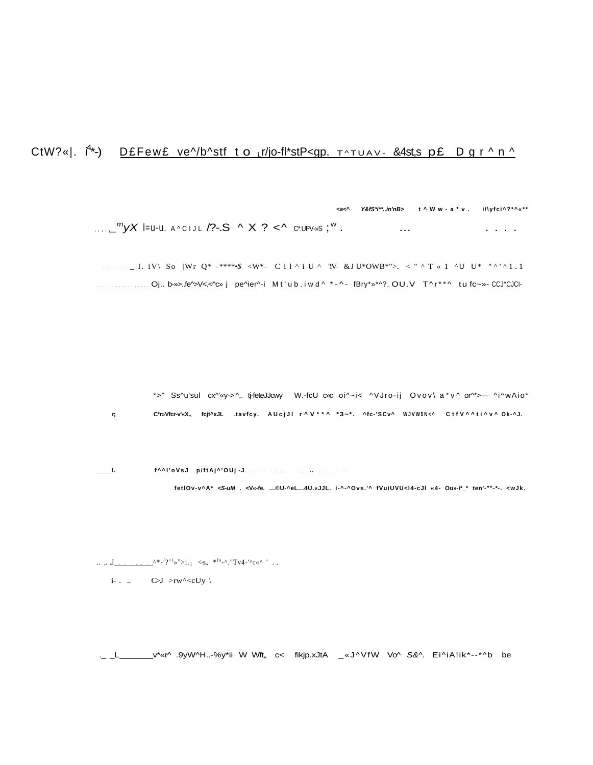### CtW?«|. i<sup>4\*</sup>-) D£Few£ ve^/b^stf to r/jo-fl\*stP<gp. T^TUAV- &4st,s p£ Dgr^n^

|                                                                                                                                                                                                                                                                                                                                              | <a<^ y&fs*i**in'nb=""> t ^ W w - a * v . i/\yfci^?*^«**</a<^> |                                          |  |
|----------------------------------------------------------------------------------------------------------------------------------------------------------------------------------------------------------------------------------------------------------------------------------------------------------------------------------------------|---------------------------------------------------------------|------------------------------------------|--|
| $\ldots$ $\ldots$ $\ldots$ $\ldots$ $\ldots$ $\ldots$ $\ldots$ $\ldots$ $\ldots$ $\ldots$ $\ldots$ $\ldots$ $\ldots$ $\ldots$ $\ldots$ $\ldots$ $\ldots$ $\ldots$ $\ldots$ $\ldots$ $\ldots$ $\ldots$ $\ldots$ $\ldots$ $\ldots$ $\ldots$ $\ldots$ $\ldots$ $\ldots$ $\ldots$ $\ldots$ $\ldots$ $\ldots$ $\ldots$ $\ldots$ $\ldots$ $\ldots$ | $\sim 100$ km s $^{-1}$                                       | the contract of the contract of the con- |  |
| I. iV So  Wr Q* -**** $S \lt W^*$ - C i l ^ i U ^ 'W- &JU*OWB*">. $\lt$ " ^ T « 1 ^U U* " ^ ' ^ 1. 1                                                                                                                                                                                                                                         |                                                               |                                          |  |

........................Oj.. b->>..fe^>V<.<^c> j pe^ier^-i Mt'ub.iwd^ \*-^- fBry\*>\*^?.OU.V T^r\*\*^ tufc~>-CCJ^CJCI-

\*>" Ss^u'sul cx^'«y->'^,. tj-feteJJcwy W.-fcU c>c oi^~i< ^VJro-ij Ovov\ a \*v^ or^\*> ^i^wAio \* C\*r»Vfcr-v'«X., fcjt^xJL .tavfcy. AUcjJIr^V\*\*^\*3~\*. ^fc-'SCv^ WJVW5N<^ CtfV^^ti^v^Ok-^J.  $\mathbf{r}_i$ 

 $\Box$ fetIOv-v^A\* <S-uM . <V«-fe. ...©U-^eL...4U.«JJL. i-^-^Ovs.'^ fVuiUVU<I4-cJl «4- Ou»-i\* \* ten'-""-\*-. <wJk.

...  $J_1 \t M_2 \t M_3 \t M_4$  ...  $\Lambda^* \t M_2^{\langle i \rangle} \t M_3^{\nu} > 1$ ...  $\langle -S_1 \t M_2^{\nu} \t M_1^{\nu} \t M_1^{\nu} \t M_2^{\nu} \t M_1^{\nu} \t M_2^{\nu} \t M_1^{\nu} \t M_2^{\nu} \t M_2^{\nu} \t M_2^{\nu} \t M_2^{\nu} \t M_2^{\nu} \t M_2^{\nu} \t M_2^{\nu} \t M_2^{\nu} \t M_2^{\nu} \t M_2^{\$ 

i- . .. C>J >rw^<cUy \

.\_ L v\*«r^ .9yW^H..-%y\*ii W Wft, c< fikip.xJtA \_ «J^VfW Vo^ S&^. Ei^iA!ik\*--\*^b be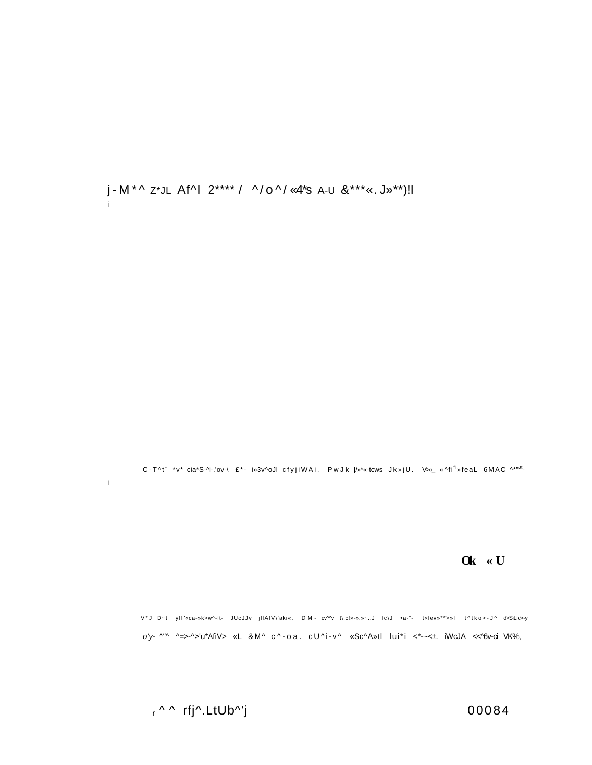$j$ -M\*^ Z\*JL Af^l 2\*\*\*\* / ^/o^/ «4\*s A-U &\*\*\* «. J»\*\*)!|

 $C-T \wedge t$  \*v\* cia\*S-^i-.'ov-\ £\*- i»3v^oJl cfyjiWAi, PwJk |/»\*«-tcws Jk»jU. V>«\_ «^fi<sup>fl</sup>»feaL 6MAC ^\*"Jt-

 $0k \ll U$ 

V\*J D-t yffi'«ca-»k>w^-ft- JUcJJv jfIAfV\'aki«. DM- cv^v t\.c!»-».»-..J fc\J •a-"- t«fev»\*\*>»| t^tko>-J^ d>SiLfc>y o'y- ^"^ ^=>-^>'u\*AfiV> «L &M^ c^-oa. cU^i-v^ «Sc^A»tl lui\*i <\*-~<*±*. iWcJA <<^6v-ci VK%,

r ^ ^ rfj^.LtUb^'j

 $\mathbf{i}$ 

00084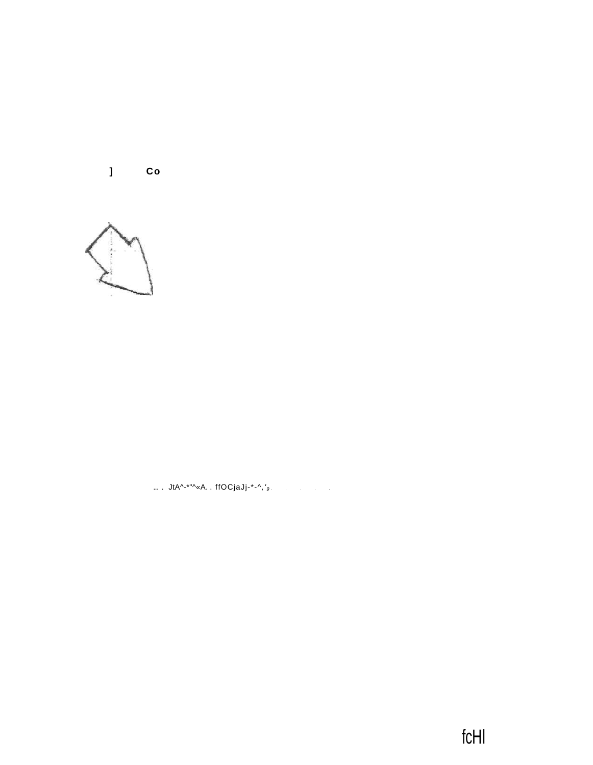$\bar{1}$  $Co$ 



.... JtA^-\*"^«A..ffOCjaJj-\*-^,'g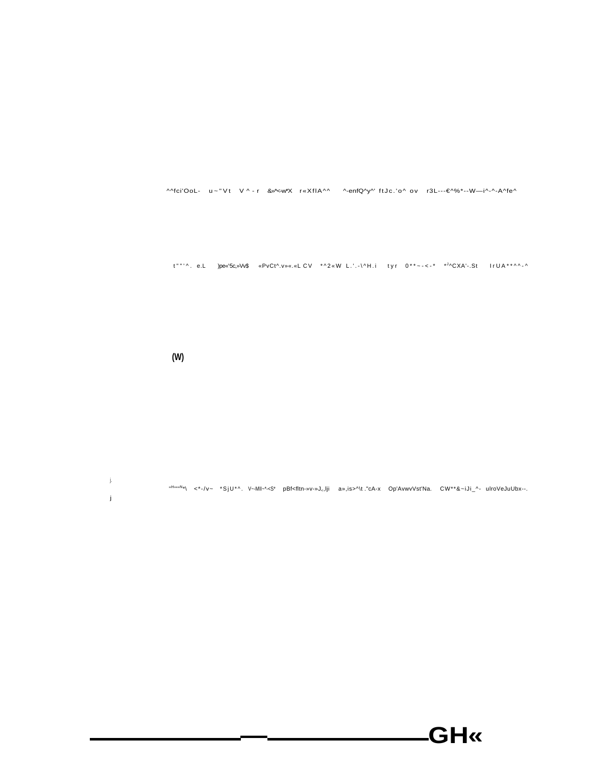## **GH«**

"HumMx\ <\*-/v~ \*SjU\*^. V~Mll~\*~S\* pBf<fltn-»v-»J<sub><</sub>,lji a»,is>^\t."cA-x Op'AvwvVst'Na. CW\*\*&~iJi\_^- uIroVeJuUbx--.

 $(W)$ 

 $\parallel$ 

 $\mathbf{j}$ 

^^fci'OoL- u~"Vt V^-r &\*<w\*X r«XfIA^^ ^-enfQ^y^'ftJc.'o^ov r3L--- E^%\*--W--i^-^-A^fe^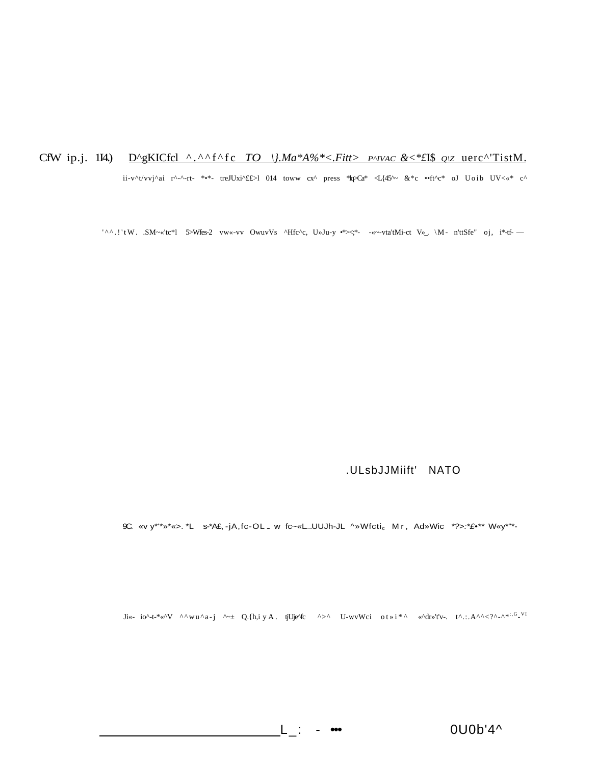### CfW ip.j. 114.) D^gKICfcl ^.^^f^fc TO \}.Ma\*A%\*<.Fitt> P^IVAC &<\*£I\$  $Q\text{VZ}$  uerc^'TistM.

ii-v^t/vvj^ai r^-^-rt- \*\*\*- treJUxi^££>l 014 toww cx^ press \*kpCa\* <L{45^- &\*c •ft^c\* oJ Uoib UV<<\* c^

'^^.!'tW. .SM~«'tc\*l 5>Wfes-2 vw«-vv OwuvVs ^Hfc^c, U»Ju-y \*\* - «~-vta'tMi-ct V»\_ \M- n'ttSfe" oj, i\*-tf-

#### .ULsbJJMiift' NATO

9C. «vy\*'\*»\*«>. \*L s-\*A£, -jA,fc-OL... w fc~«L...UUJh-JL ^»Wfcti<sub>c</sub> Mr, Ad»Wic \*?>:\*£•\*\* W«y\*"\*-

 $\begin{array}{ccccccccccccccl} \mathrm{J} \mathrm{i} \mathrm{e} \mathrm{e} & \mathrm{i} \mathrm{o} \wedge \mathrm{t} \mathrm{e}^* \mathrm{e} \wedge \mathrm{V} & \wedge \mathrm{A} \mathrm{w} \mathrm{u} \wedge \mathrm{a} \mathrm{e} \mathrm{j} & \wedge \mathrm{e} \mathrm{t} & \mathrm{Q} \mathrm{e} \mathrm{h} \mathrm{i} \mathrm{y} \mathrm{A} & \mathrm{t} \mathrm{j} \mathrm{l} \mathrm{j} \mathrm{e} \wedge \mathrm{f} \mathrm{c} & \wedge > \wedge & \mathrm{U} \mathrm{-} \mathrm{w} \mathrm{v} \mathrm{W} \mathrm{c$ 

 $0U0b'4<sup>^</sup>$ 

 $\lfloor L \rfloor$ :  $\bullet$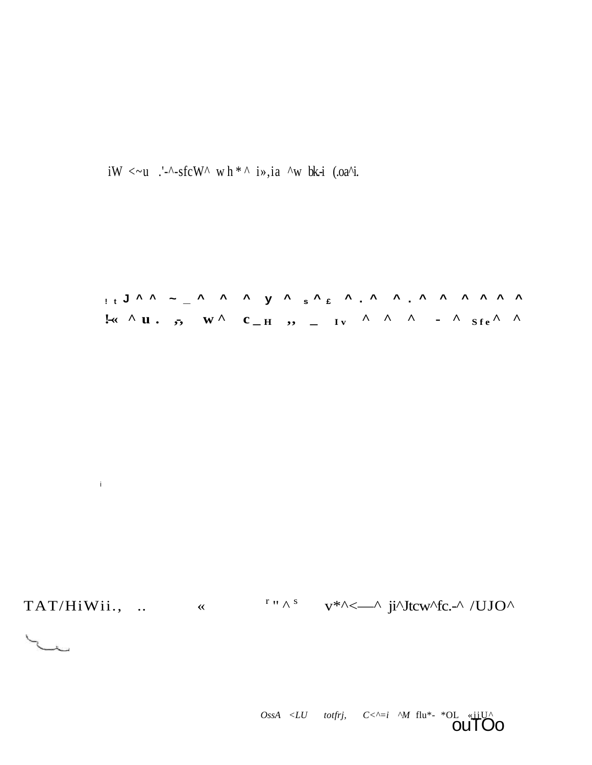$iW < \sim u$  .'-^-sfcW^ wh\*^ i»,ia ^w bk-i (.oa^i.



 $\sim 10^{11}$  km  $^{-1}$ 

TAT/HiWii., .. «  $x^* \wedge^s y^* \wedge^s (-x^*)$  ji^Jtcw^fc.-^ /UJO^

*OssA* <*LU totfrj*,  $C < -i$  ^*M* flu\*- \*OL « $\frac{1}{2}$   $\frac{1}{2}$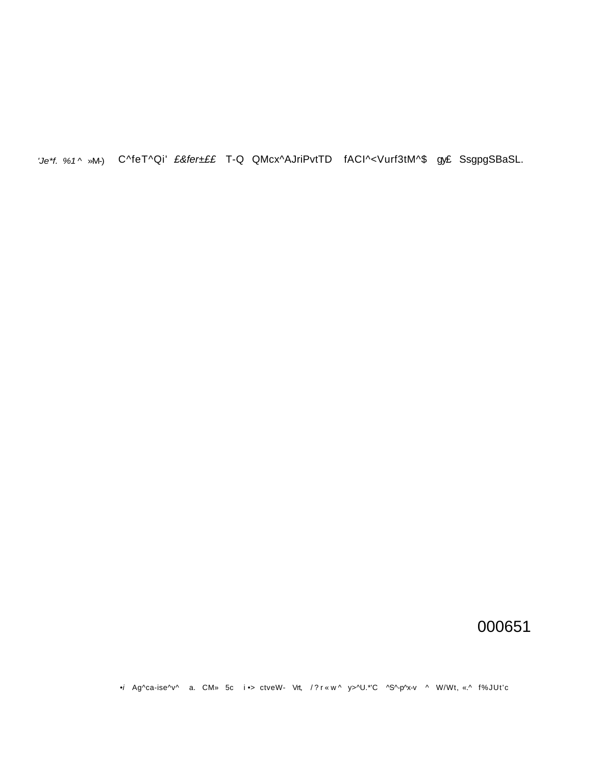'Je\*f. %1^ >M-) C^feT^Qi' £&fer±££ T-Q QMcx^AJriPvtTD fACI^<Vurf3tM^\$ gy£ SsgpgSBaSL.

### 000651

•i Ag^ca-ise^v^ a. CM» 5c i •> ctveW- Vrt, /?r«w^ y>^U.\*'C ^S^-p^x-v ^ W/Wt, «.^ f%JUt'c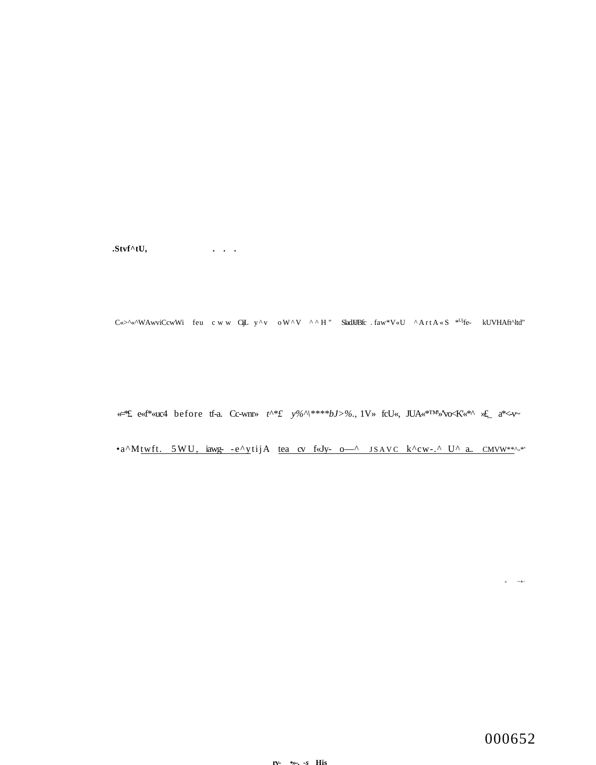$Stvf^{\wedge}tU,$   $\cdots$ 

C«>^«^WAwviCcwWi feu cww CjL y^v oW^V ^^H" SkdliJBfc.faw\*V«U ^ArtA«S \*Ujfe- kUVHAft^ltd"

<= L<sup>2</sup> ex<sup>p\*</sup> auc4 before tf-a. Cc-wnr>>  $t^{\wedge *}\pounds y^{\circ}\sqrt{x}$  \*\*\*\*bJ>%, 1V> fcU<, JUA <\* IM<sub>></sub> vo<K <\* > x <br> a<sup>\*</sup> < v~

• a^Mtwft. 5WU, iawg- -e^ytijA tea cv f«Jy- o-^ JSAVC k^cw-.^ U^ a. CMVW\*\*^-\*'

 $\mathbf{r}_\mathrm{a} = -\mathbf{r}_\mathrm{a} \mathbf{r}_\mathrm{a}$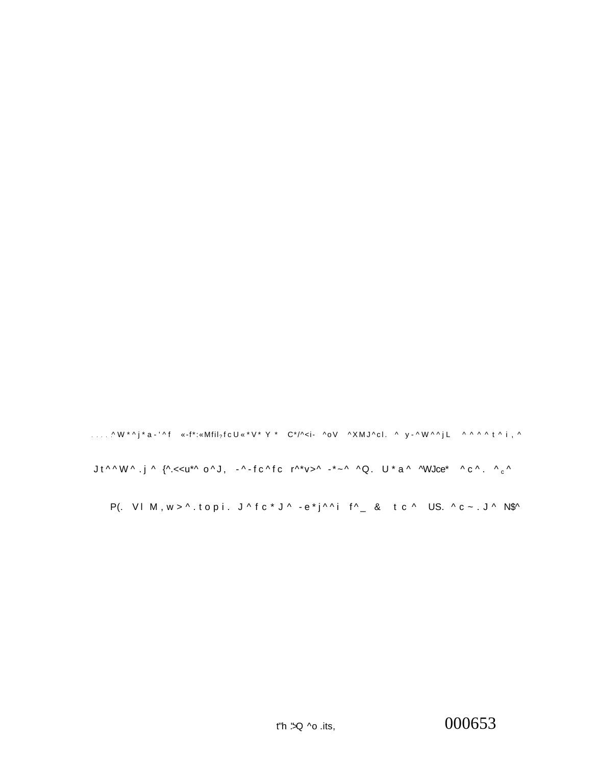....^W\*^j\*a-'^f «-f\*:«Mfil<sub>?</sub>fcU«\*V\* Y \* C\*/^<i- ^oV ^XMJ^cl. ^ y-^W^^jL ^^^^^t^i,^

 $Jt^{\wedge\wedge}W^{\wedge} \cdot j^{\wedge} \xleftarrow{\wedge} \langle \sim u^{\ast\wedge} 0^{\wedge} J, \quad \sim f \circ \wedge f \circ r^{\wedge}y > \wedge \quad \sim^{\ast} \sim^{\wedge} \quad \wedge Q. \quad U^{\ast} a^{\wedge} \quad \wedge W Jce^{\ast} \quad \wedge c^{\wedge}. \quad \wedge_c^{\wedge}$ 

P(. VI M, w > ^.topi. J^fc \* J^ - e \* j^^i f^\_ & tc ^ US. ^c ~. J^ N\$^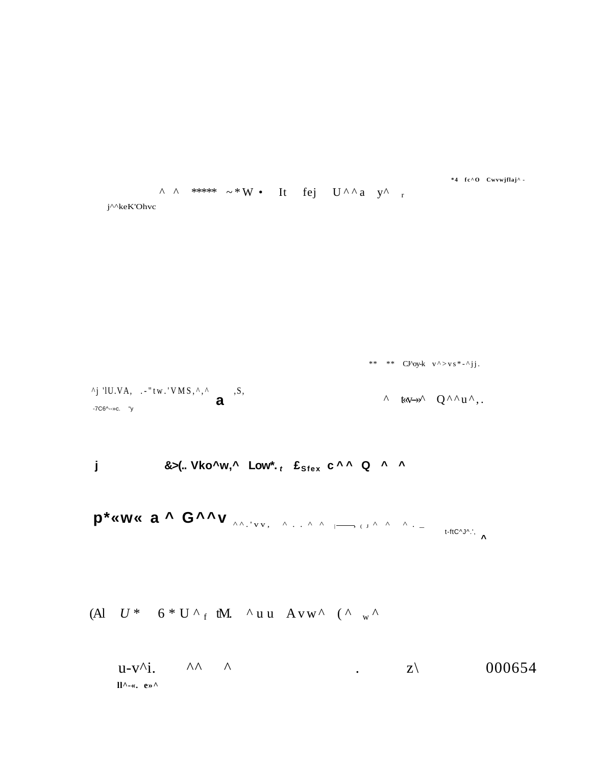\*4 fc^O Cwvwjflaj^ - $\wedge \wedge$  \*\*\*\* ~\*W • It fej U^^a y^ r j^^keK'Ohvc \*\* \*\*  $CYoy-k$   $v^2>v s^* - \gamma jj$ .  $\gamma$ j 'IU.VA, .-"tw.'VMS, $\hat{\lambda}, \hat{\lambda}$  ,S,  $\wedge$  two  $\vee$   $Q \wedge \wedge u \wedge$ ,. -7C6^--»c. "y j &>(.. Vko^w,^ Low\*.  $t$  £ s fex  $c \wedge^A Q$  ^ ^  $\text{(Al } U^* \quad 6^* \text{ U} \wedge_{\text{f}} \text{ tM.} \wedge \text{ u u} \quad \text{Avw} \wedge \text{ (} \wedge \text{ w } \wedge$ 

 $u-v^{\lambda}i$ .  $\wedge \wedge$   $\wedge$  $|z\rangle$  000654  $II^{\wedge}$ -«.  $e^{\wedge}$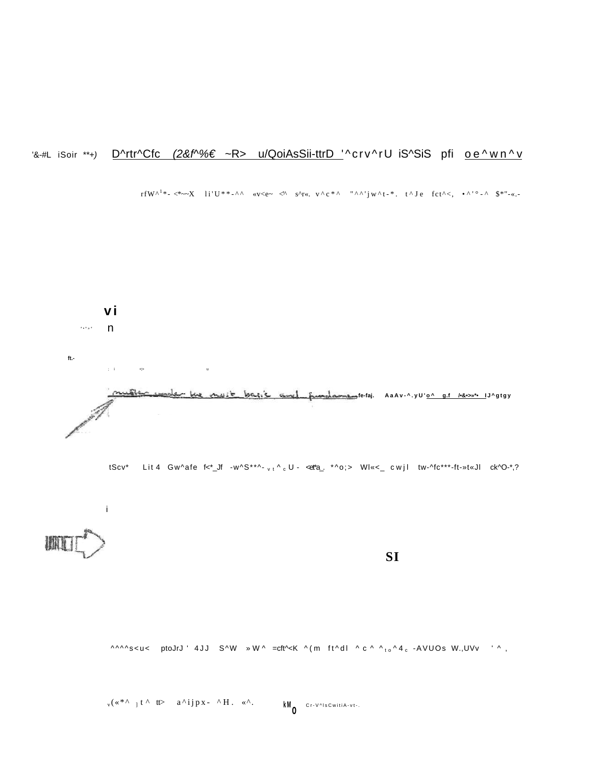### '&-#L iSoir \*\*+) DArtrACfc (2&fA%E ~R> u/QoiAsSii-ttrD 'AcrvArU iSASiS pfi oeAwnAv

 $\text{rfW}^{\wedge^{1}*}-\langle\overline{\ast}_{\sim}X-li^{\prime}U^{\ast\ast_{-}\wedge\wedge}_{\quad}\quad\text{we}\langle e_{\sim}\rangle\langle\overline{\ast}_{\sim}S^{\wedge}\text{r}\alpha,\ \nu^{\wedge}C^{\ast\wedge}_{\quad\quad}\quad\text{``}\wedge\overline{\ast}_{\cdot}j\bar{w}^{\wedge}t^{-\ast}_{\quad\quad t^{\wedge}J}e\quad\text{fct}\wedge<\,,\quad\bullet^{\wedge^{+}\circ_{-}\wedge_{-}}\hat{\mathbb{S}}^{\ast^{+}-}\ll_{\cdot}$ 



tScv\* Lit 4 Gw^afe f<\*\_Jf -w^S\*\*^-vt^cU-<efa\_ \*^o;> WI«<\_ cwjl tw-^fc\*\*\*-ft-»t«Jl ck^O-\*,?



 $\mathbf i$ 

**SI** 

 $\wedge \wedge \wedge s < u < \qquad \text{ptolrJ'} \quad 4 \text{JJ} \quad S \wedge W \quad \Rightarrow W \wedge = \text{cft'} \prec K \quad \wedge (m \quad \text{ft} \wedge d) \quad \wedge c \wedge \wedge_{t_0} \wedge 4_c \quad - A V U O s \quad W., UVV \qquad ' \wedge ,$ 

 $\sqrt{(x^* \wedge 1)} t \wedge t$   $\gg$   $a \wedge i j p x - \wedge H$ .  $\ll$   $\sim$ .  $kM$ <sup>O</sup> Cr-V<sup>A</sup>Is Cwiti A-vt-.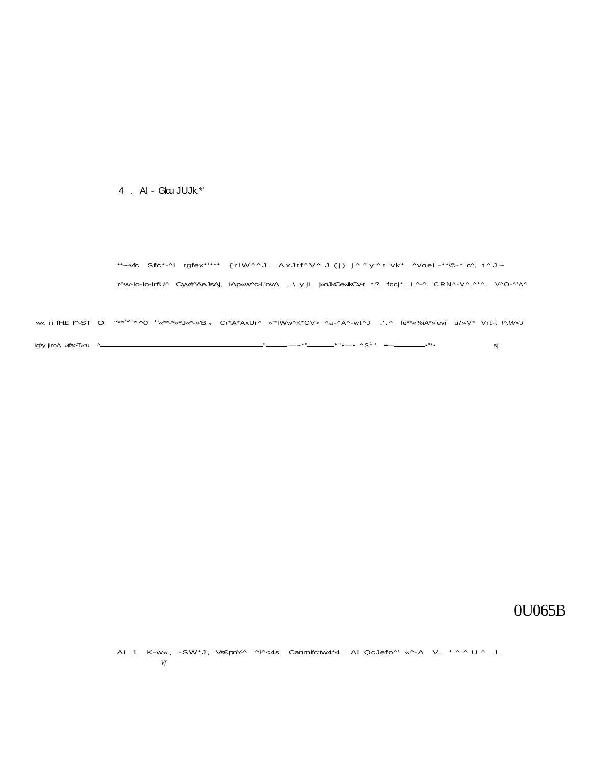4 . AI - Glau JUJk.\*'

\*\*~~vfc Sfc\*-^i tgfex\*'\*\*\* {riW^^J. AxJtf^V^ J (j) j^^y^t vk\*. ^voeL-\*\*@-\* c^, t^J~ r^w-io-io-irfU^ Cyv/t^AeJsAj, iAp«w^c-i.'ovA, \y.jL j»aJkCe«kCvt \*.?. fccj\*. L^^. CRN^-V^.^\*^, V^O-^'A^

»,«, ii fH£ f^ST O "\*\*<sup>/V3</sup>\*^Q <sup>C</sup>«\*\*<sub>-</sub>\*»\*J«\*-»'B<sub>?</sub> Cr\*A\*AxUr^ »'\*fWw^K\*CV> ^a-^A^-wt^J ,'.^ fe\*\*«%iA\*»<sup>;</sup>evi u/»V\* Vrt-t <u>l^.W<J</u> kg/sy jiroA »tfa>T»\*u ^sj

0U065B

Ai 1 K-w«, -SW\*J, VsEpoY^ ^i^<4s Canmifc;tw4\*4 Al QcJefo^' «^-A V. \* ^ ^ U ^ .1  $V\hspace{-0.1cm}f$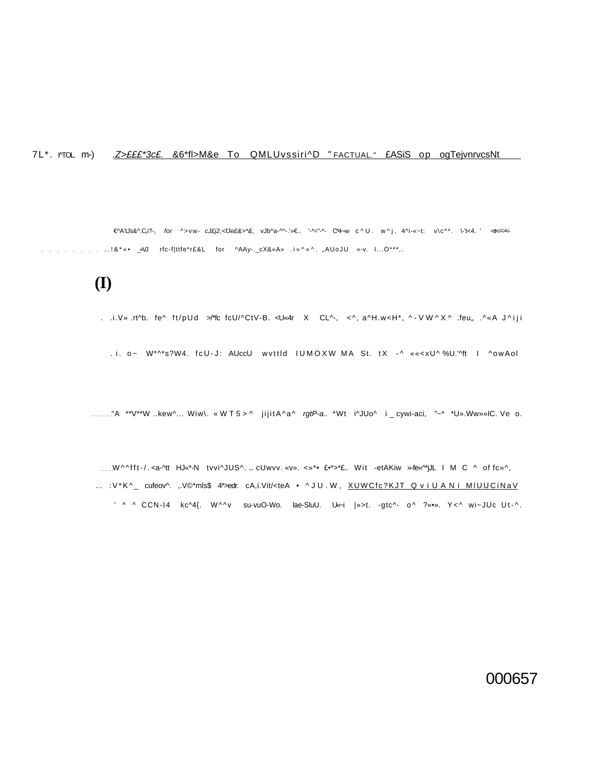#### 7L\*. MTOL m-) .Z>£££\*3c£. &6\*fl>M&e To QMLUvssiri^D "FACTUAL." £ASiS op ogTejvnrvcsNt

 $\nonumber \textsf{E'AtJSA'}.C_{i}i?-, \quad \textit{for} \quad \textit{--} \textsf{--} \textsf{--} \textsf{--} \textsf{--} \textsf{--} \textsf{--} \textsf{--} \textsf{--} \textsf{--} \textsf{--} \textsf{--} \textsf{--} \textsf{--} \textsf{--} \textsf{--} \textsf{--} \textsf{--} \textsf{--} \textsf{--} \textsf{--} \textsf{--} \textsf{--} \textsf{--} \textsf{--} \textsf{--} \textsf{--} \textsf{--} \textsf{--} \textsf{--} \textsf{--} \textsf$ . . . . . . . . . . . . 8\*«• \_«\/J rfc-f|ttfe\*r£&L for ^AAy-.\_cX&«A» .i»^«^. "AUoJU «-v. I...O\*\*\*,.

### $\mathbf{I}$

- . .i.V» .rt^b. fe^ ft/pUd >/\*fc fcU/^CtV-B. <U«4r X CL^-, <^, a^H.w<H\*, ^-VW^X^ .feu,, .^«A J^iji
	- .i. o~ W\*^\*s?W4. fcU-J: AUccU wvttld IUMOXW MA St. tX -^ ««<xU^%U.'^ft I ^owAol

........."A \*\*V\*\*W..kew^... Wiw\. «WT5>^ jijitA^a^ rgtP-a.. \*Wt i^JUo^ i\_cywi-aci, "~\* \*U».Ww»»IC. Ve o.

.... W^^fft-/. < a-^tt HJ«\*-N tvvi^JUS^. ... cUwvv. «v». < »\*• £•\*>\*£.. Wit -etAKiw »-fe«^\*jJL I M C ^ of fc»^, ... : V \* K ^\_ cufeov^., . V© \*mls\$ 4\*>edr. cA,i. Vit/<teA • ^ J U . W, XUWCfc? KJT Q v i U A N i MIUUCiNa V ' ^ ^ CCN-14 kc^4{. W^^v su-vuO-Wo. lae-SluU. U«-i |»>t. -gtc^- o^ ?«•». Y<^ wi~JUc Ut-^.

### 000657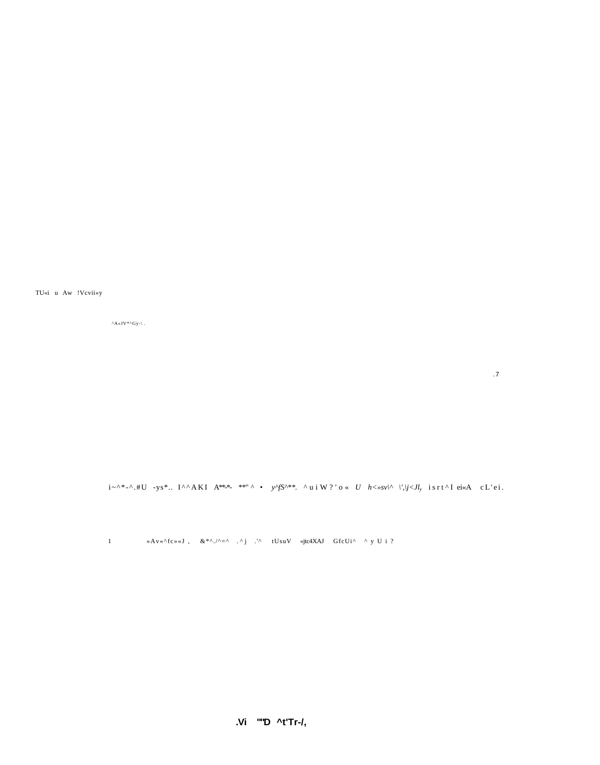$1\qquad \qquad \mbox{``A v$ ``f c$ ``J\ ,\quad $\&^{\ast \wedge}./\wedge =\wedge\quad \wedge j\quad \wedge\qquad \quad t U s u V \quad \mbox{``jtc4XAJ\quad Gf c U i^ \wedge\quad \wedge\ y\ U\ i\ ?}$ 

 $\mathbf{i}\sim^{\mathbf{A}^*-\mathbf{A}}\mathbf{B}U\quad\mathbf{y}\mathbf{y}^*\mathbf{A}\quad\mathbf{I}\quad\mathbf{A}^{\mathbf{A}\mathbf{B}}\mathbf{A}\quad\mathbf{A}^{\mathbf{B}\mathbf{B}}\mathbf{A}\quad\mathbf{A}\mathbf{B}\quad\mathbf{B}\quad\mathbf{A}\quad\mathbf{B}\quad\mathbf{A}\quad\mathbf{B}\quad\mathbf{A}\quad\mathbf{A}\quad\mathbf{B}\quad\mathbf{A}\quad\mathbf{B}\quad\mathbf{A}\quad\mathbf{B}\quad\mathbf{A}\quad\mathbf{B}\quad\mathbf{$ 

 $.7$ 

TU«i u Aw !Vcvii«y  ${}^\wedge A {\mathop{\scriptstyle\circ}} J V^{\mathop{\scriptstyle\circ}} {}^\wedge G y {\mathop{\scriptstyle\circ}} {}^\wedge$  .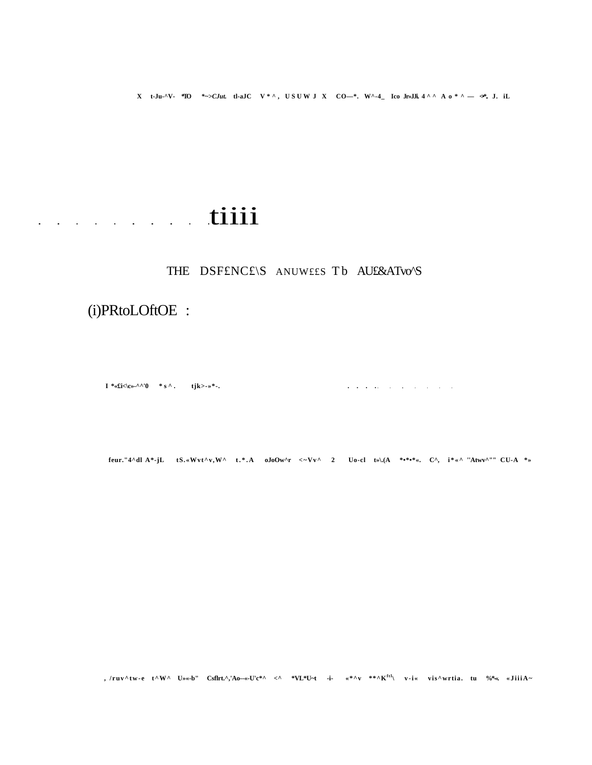X t-Ju-^V- \*TO \*~>CJut. tl-aJC V \* ^, USUW J X CO--\*. W^-4\_ Ico Jr>JL 4 ^ ^ A o \* ^ - <\*. J. iL

# **Expanding Contact State**

### THE DSF£NC£\S ANUW££S Tb AU£&ATvo^S

### (i)PRtoLOftOE :

 $\mathbf{r}$ 

 $I * \frac{2}{\sqrt{3}}$  = \left(\c\, \beta \beta \beta \beta \beta \beta \beta \beta \beta \beta \beta \beta \beta \beta \beta \beta \beta \beta \beta \beta \beta \beta \beta \beta \beta \beta \beta \beta \beta \beta \beta \beta \

feur."4^dl A\*-jL tS.«Wvt^v,W^ t.\*.A oJoOw^r <~Vv^ 2 Uo-cl t»\.(A \*\*\*\*«. C^, i\*«^ "Atwv^"" CU-A \*»

, /ruv^tw-e t^W^ U»«-b" Csflrt.^,'Ao--«-U'c\*^ <^ \*VL\*U~t -i- «\*^v \*\*^K<sup>ttl</sup>\ v-i« vis^wrtia. tu %\*« «JiiiA~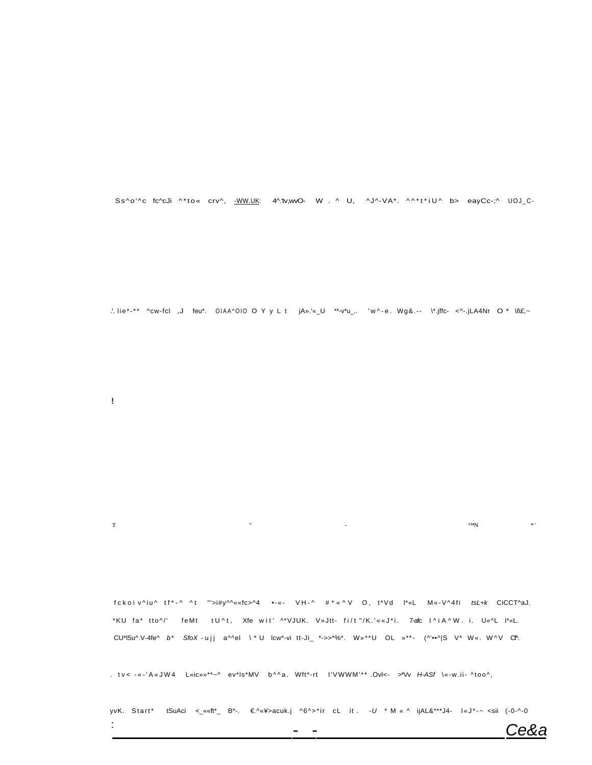|  |  |  |  | yvK. Start* tSuAci <_««ft*_ B*-. €^«¥>acuk.j ^6^>*ir cL it. -U * M « ^ ijAL&***J4- l«J*-~ <sii (-0-^-0<="" th=""><th></th><th></th><th></th><th></th><th></th><th></th><th></th></sii> |    |  |  |  |  |  |      |  |
|--|--|--|--|----------------------------------------------------------------------------------------------------------------------------------------------------------------------------------------|----|--|--|--|--|--|------|--|
|  |  |  |  |                                                                                                                                                                                        |    |  |  |  |  |  |      |  |
|  |  |  |  |                                                                                                                                                                                        | -- |  |  |  |  |  | Ce&a |  |
|  |  |  |  |                                                                                                                                                                                        |    |  |  |  |  |  |      |  |

. tv< - «-'A«JW4 L«ic»»\*\*~^ ev\*ls\*MV b^^a. Wft\*-rt l'VWWM'\*\* .Ovl<- >\*Vv H-ASf \«-w.ii- ^too^,

fckoiv^iu^ tf\*-^ ^t "'>i#y^^««fc>^4 •-«- VH-^ #\*«^V O, t\*Vd I\*«L M«-V^4fi tsL+k CiCCT^aJ. \*KU fa\* tto^/' feMt tU^t, Xfe wit' ^\*VJUK. V»Jtt- fi/t "/K.'««J\*i. 7-afc I^iA^W. i. U«^L i\*«L. CU\*I5u^.V-4fe^ b\* SfoX - ujj a^^el \\* U lcw\*-vi tt-Ji\_ \*->>\*%\*. W»\*\*U OL »\*\*- (^'••^|S V\* W«. W^V O\*.

 $\mathcal{O}(\mathcal{O}(n))$  . The contract of the contract of the contract of the contract of the contract of the contract of the contract of the contract of the contract of the contract of the contract of the contract of the contra  $\sim$  $T$ TMN

 $\mathbf{I}$ 

.. lie\*-\*\* ^cw-fcl ,J feu\*. OIAA^OIO O Y y L t jA».'«\_U \*\*-v\*u\_.. 'w^-e. Wg&.-- \\*.jffc- <^-.jLA4Nr O \* Vi£,~

Ss^o'^c fc^cJi ^\*to« crv^, -WW.UK: 4^.tv,wvO- W. ^ U, ^J^-VA\*. ^^\*t\*iU^ b> eayCc-;^ UOJ\_C-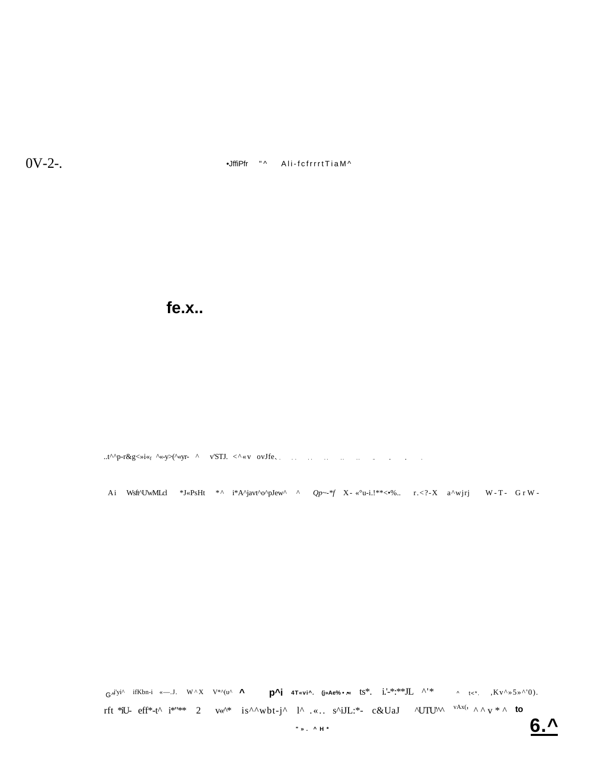•JffiPfr "^ Ali-fcfrrrtTiaM^

 $fe.x$ ..

Ai Wsft^UwMLcl \*J«PsHt \*^ i\*A^javt^o^pJew^ ^  $Qp \sim r f X - \alpha^{\circ} u - i$ .!\*\*<-%...  $r \ll 2-X$  a^wjrj W-T- GrW-

 $G^{\lambda^{i}yi^{\wedge}}$  ifKbn-i «- J. W^X V\*^(u^ A  $p^{\wedge}i$  4T«vi^. (j»Ae%• « ts<sup>\*</sup>. i.'-\*:\*\*JL ^'\* A t<\*. ,Kv^»5»^'0). rft \*iU- eff\*-t^ i\*"\*\* 2 v«^\* is^^wbt-j^ l^ .«.. s^iJL:\*- c&UaJ ^UTU^^  $V^{Ax(r, \Lambda)}$  v \* ^ to

 $6.4$ 

 $0V-2-.$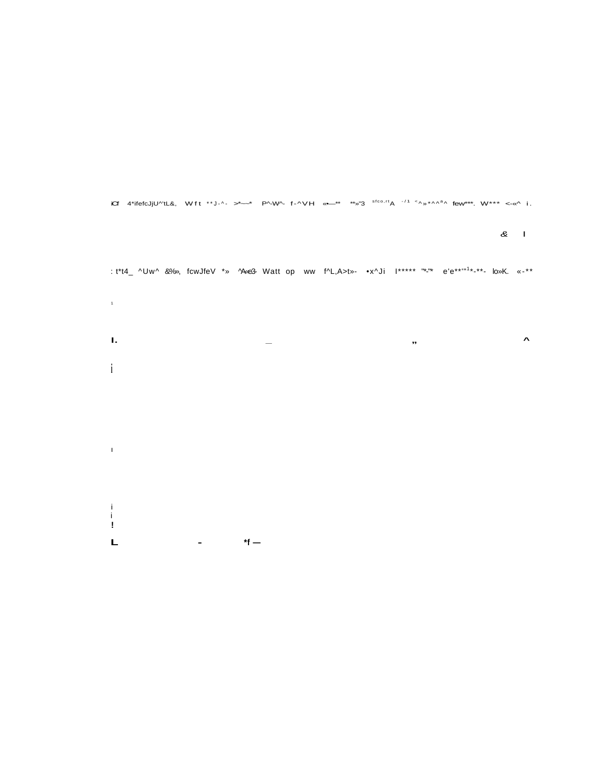$8 \quad 1$ : t\*t4\_ ^Uw^ &%», fcwJfeV \*» ^A«e3 Watt op ww f^L,A>t»- •x^Ji l\*\*\*\*\* "\*"\* e'e\*\*'"<sup>1</sup>\*-\*\*- lo»K. «-\*\*  $\mathbf{A}^{(n)}$  and  $\mathbf{L} = \mathbf{0}$  $\overline{\phantom{a}}$  $\mathbf{H}^{\text{max}}$  $\alpha \rightarrow \alpha \beta$  $\mathbf{i}$  $\sim 10^{-11}$ 

 $\mathbf{i}$  $\frac{1}{2}$  $\mathbf{I}$ 

 $\mathbf{L}$  $*$   $*$   $-$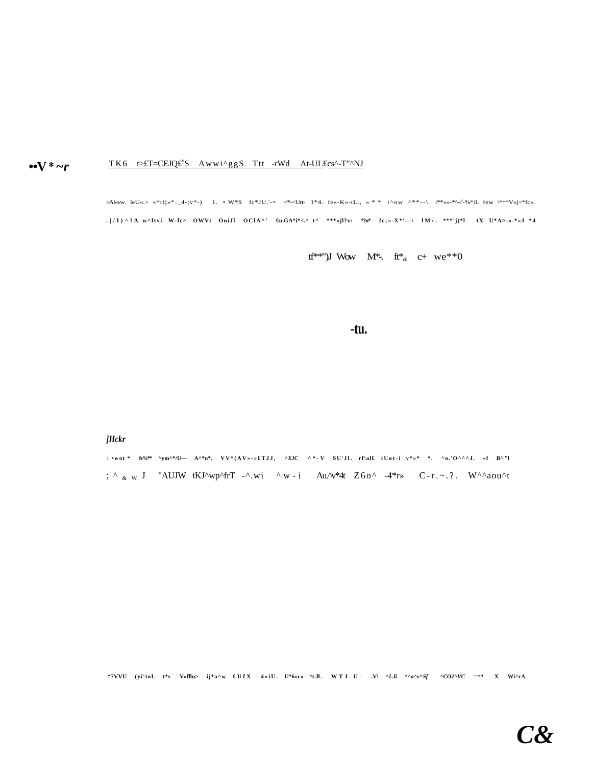#### TK6 t>fT=CEJQf'S Awwi^ggS Ttt -rWd At-ULfcs^-T"^NJ  $\bullet$ V $^*$ ~r

:Afww. leU«.> «\*rij»\*<sub><</sub>4-;v\*-) 1. • W\*\$ fc\*JU.'-= <\*<Urt-1\*4. fe«-K«-tL., « \* \* t^ow ^\*\*--\ j\*\*«»-\*^«<sup>a</sup>-%\*Ji. few \\*\*\*V«j<\*fc«. .  $|11\rangle$  ^ 1A w^ltvi W-fc> OWVt OniJl OClA^' £u.GA\*j\*<^ t^ \*\*\*<jl?v| \*?n\* fc; <- X\*'--| 1M/. \*\*\*'j)\*l tX U\*A>-<-\*<J \*4

tf\*\*")J Wow M\*-. ft\*<sub>ai</sub> c+ we\*\*0

 $-tu.$ 

 $Hckr$ 

: .wot \*  $\frac{1}{2}$   $\frac{1}{2}$   $\frac{1}{2}$   $\frac{1}{2}$   $\frac{1}{2}$   $\frac{1}{2}$   $\frac{1}{2}$   $\frac{1}{2}$   $\frac{1}{2}$   $\frac{1}{2}$   $\frac{1}{2}$   $\frac{1}{2}$   $\frac{1}{2}$   $\frac{1}{2}$   $\frac{1}{2}$   $\frac{1}{2}$   $\frac{1}{2}$   $\frac{1}{2}$   $\frac{1}{2}$   $\frac{1}{2}$   $\frac{1}{2}$   $\$ ;  $\wedge_{\&\&\&\&\end{bmatrix}$  "AUJW tKJ^wp^frT -^.wi  $\wedge_{\&\&\}$  -i Au.^v\*4t Z60^ -4\*r» C-r.~.?. W^^aou^t

\*7VVU (yi'toL t\*s V»fllu> ij\*a^w £UfX 4«iU. U\*6«r« ^t,JL WTJ-U- .V\ ^L,li ^^a^y^Sf ^COJ^VC =^\* X Wi^rA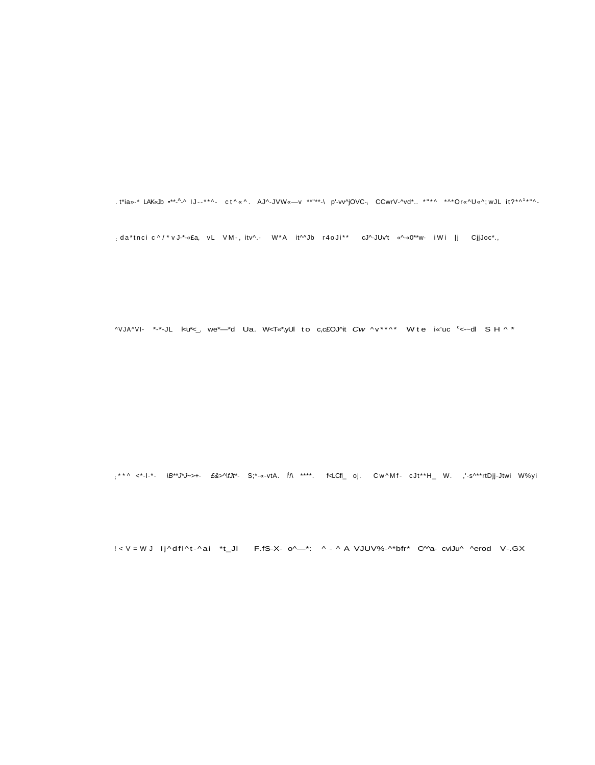.t\*ia»-\* LAK«Jb •\*\*-^-^ IJ--\*\*^- ct^«^. AJ^-JVW«--v \*\*"\*\*-\ p'-vv^jOVC-; CCwrV-^vd\*.. \*"\*^ \*^\*Or«^U«^;wJL it?\*^<sup>1\*"^-</sup>

da\*tncic^/\*vJ-\*-«£a, vL VM-, itv^.- W\*A it^^Jb r4oJi\*\* cJ^-JUv't «^-«0\*\*w- iWi |j CjjJoc\*.,

^VJA^VI- \*-\*-JL ku\*<\_. we\*—\*d Ua. W<T«\*.yUl to c,c£OJ^it Cw ^v\*\*^\* Wte i«'uc °<-~dl S H ^ \*

; \* \* ^ < \*-1- \*- B\*\*J\*J~>+- £&>^|fJt\*- S; \*- «-vtA. i<sup>|</sup>\ \*\*\*\*. f<LCfl\_ oj. Cw^Mf- cJt\*\*H\_ W. ,'-s^\*\*rtDjj-Jtwi W%yi

I<V=WJ Ij^dfl^t-^ai \*t\_Jl F.fS-X- o^-': ^ - ^ A VJUV%-^\*bfr\* C^^a- cviJu^ ^erod V-.GX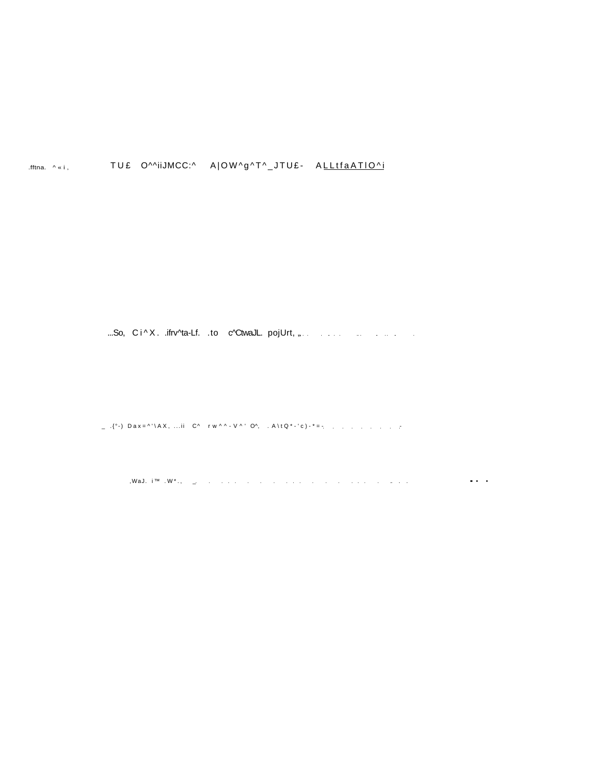### .fftna. ^\*i, TU£ O^^iiJMCC:^ A|OW^g^T^\_JTU£- ALLtfaATIO^i

 $\Box$  (°-) Dax = ^'\AX, ...ii C^ rw^^- V^' O^, . A\tQ\*-'c)-\* = - . . . . . . . . .

 $\cdots$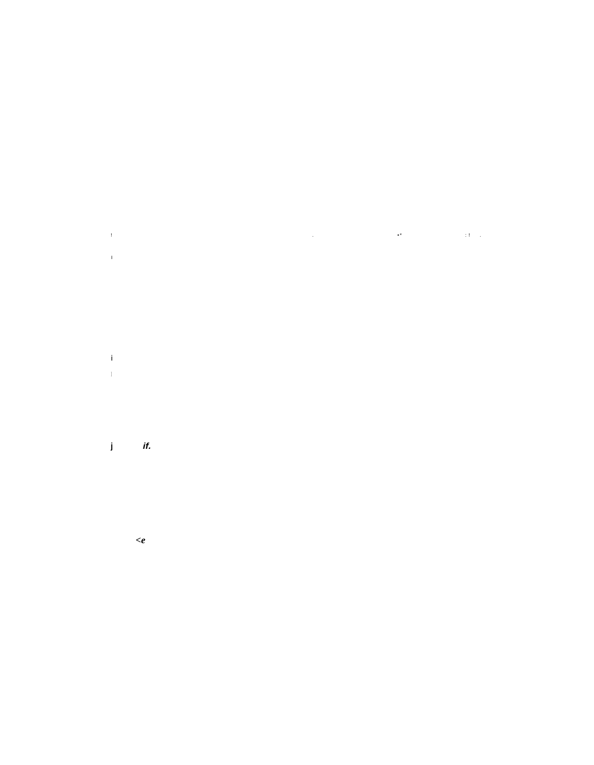$\label{eq:2.1} \Psi_{\alpha\beta} = \left\{ \begin{array}{ll} \alpha_{\alpha\beta} & \mbox{if} \quad \alpha_{\beta\beta} & \mbox{if} \quad \alpha_{\beta\beta} & \mbox{if} \quad \alpha_{\beta\beta} & \mbox{if} \quad \alpha_{\beta\beta} & \mbox{if} \quad \alpha_{\beta\beta} & \mbox{if} \quad \alpha_{\beta\beta} & \mbox{if} \quad \alpha_{\beta\beta} & \mbox{if} \quad \alpha_{\beta\beta} & \mbox{if} \quad \alpha_{\beta\beta} & \mbox{if} \quad \alpha_{\beta\beta} & \mbox{if} \quad \alpha_{\$  $\label{eq:2.1} \begin{array}{l} 1 \\ \begin{array}{c} 1 \\ \end{array} \\ \begin{array}{c} 1 \\ \end{array} \\ \begin{array}{c} 1 \\ \end{array} \end{array}$ 

 $\frac{1}{1-\alpha} \sum_{i=1}^n \frac{1}{i!} \sum_{j=1}^n \frac{1}{j!} \sum_{j=1}^n \frac{1}{j!} \sum_{j=1}^n \frac{1}{j!} \sum_{j=1}^n \frac{1}{j!} \sum_{j=1}^n \frac{1}{j!} \sum_{j=1}^n \frac{1}{j!} \sum_{j=1}^n \frac{1}{j!} \sum_{j=1}^n \frac{1}{j!} \sum_{j=1}^n \frac{1}{j!} \sum_{j=1}^n \frac{1}{j!} \sum_{j=1}^n \frac{1}{j!} \sum_{j=1}$ 

# $j$  *if.*

 $<\!\!e$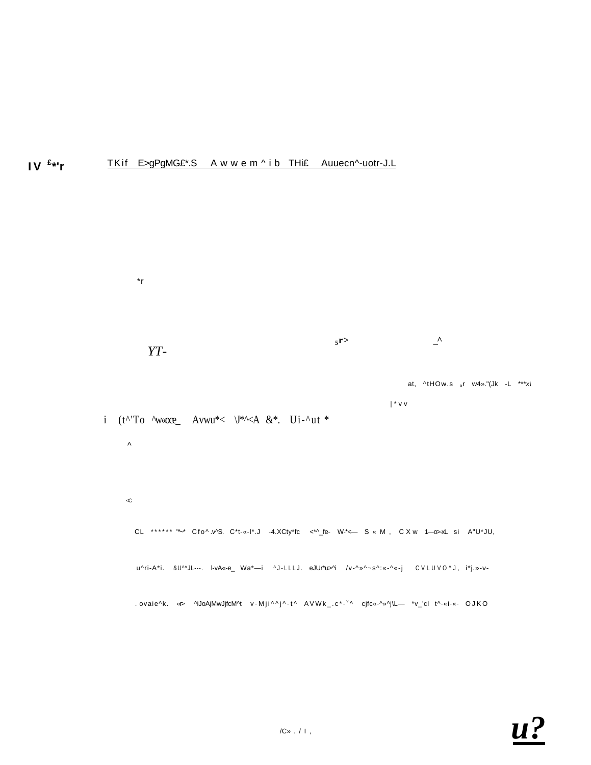### IV E\*'r TKif E>gPgMG£\*.S Awwem^ib THi£ Auuecn^-uotr-J.L

 $YT-$ 

 $*_{r}$  $\overline{\phantom{a}}$  $5r$ 

at, ^tHOw.s  $_{a}$ r w4»."(Jk -L \*\*\*x)  $\vert *$  v v

i (t^'To ^w<br/>core\_ Avwu\*<  $V^*$  A &\*. Ui-^ut \*  $\Lambda$  $\triangle$ CL \*\*\*\*\*\* "\*\* Cfo^.v^S. C\*t-«-l\*.J -4.XCty\*fc <\*^\_fe- W-\*<- S « M , C X w 1-0>xL si A"U\*JU, u^ri-A\*i. &U^\*JL---. l-vA«-e\_ Wa\*—i ^J-LLLJ. eJUr\*u>^i /v-^»^~s^:«-^«-j CVLUVO^J, i\*j.»-v-.ovaie^k. «p> ^iJoAjMwJjfcM^t v-Mji^^j^-t^ AVWk\_.c\*-<sup>v</sup>^ cjfc«-^»^j\L— \*v\_'cl t^-«i-«- OJKO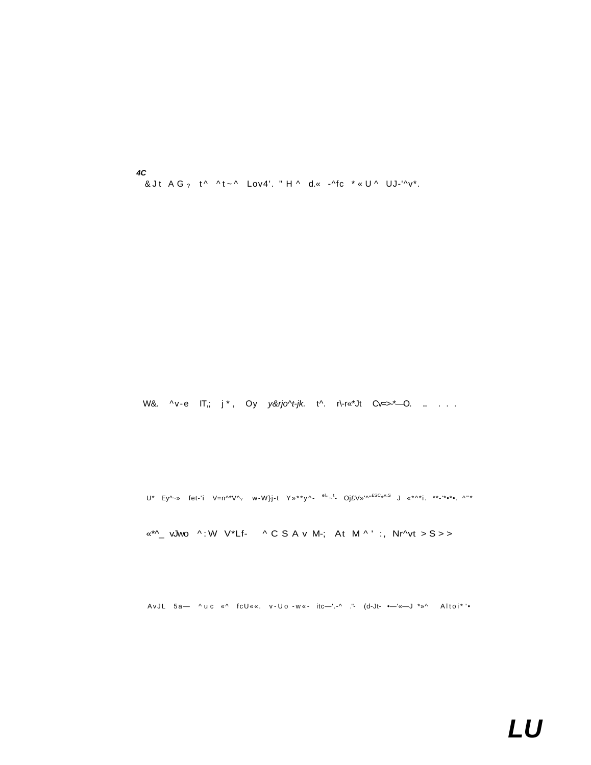$AC$ & Jt A G 2 t^ ^t~^ Lov4'. " H ^ d.« -^fc \* « U ^ UJ-'^v\*.

W&. ^v-e  $IT$ ;; j \*, Oy y&rjo^t-jk. t^. r\-r«\*Jt Cv=>-\*--O. ... ..

 $\mathsf{U}^{\star} ~~\mathsf{Ey}^{\wedge_\mathbf{\sim} \mathfrak{y}} ~~\mathsf{fet}^{\star}i ~~\mathsf{V} = \mathsf{n}^{\wedge \star} \mathsf{V}^{\wedge}, ~~ \mathsf{w} \cdot \mathsf{W} \} \mathsf{j} + \mathsf{Y}^{\mathsf{w}\star \star} \mathsf{y}^{\wedge} - \mathsf{e}^{\mathsf{j}_\mathsf{m}} \mathsf{x}^{\star} \mathsf{C} ~~\mathsf{Qj} \\ \mathsf{E}\mathsf{V}^{\mathsf{w}\prime \mathsf{N}^{\mathsf{u}} \mathsf{ESC} \star \mathsf{V}$ 

«\*^\_ vJwo ^:W V\*Lf- ^ C S A v M-; At M ^' :, Nr^vt > S > >

AvJL 5a- ^uc «^ fcU««. v-Uo-w«- itc-'.-^ ."- (d-Jt- •--'«--J \*»^ Altoi\*'.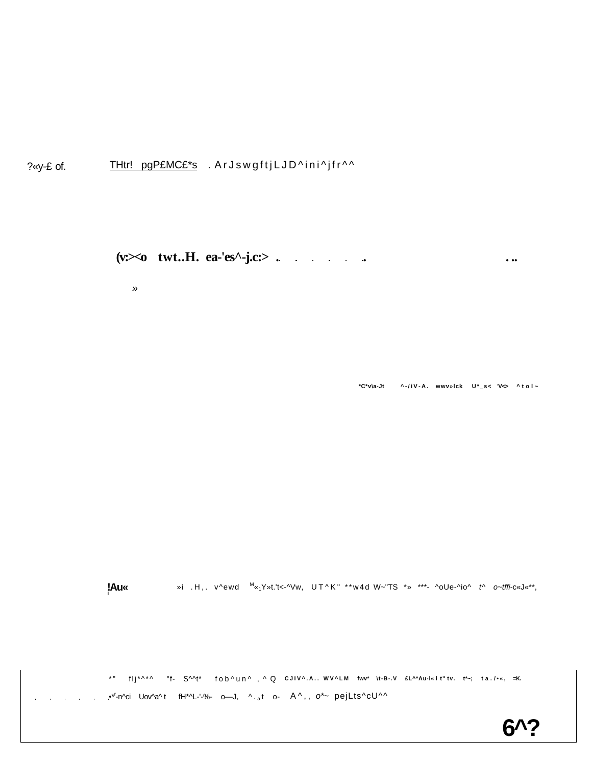\*" flj\*^\*^ of- S^^t\* fob^un^, ^ Q CJIV^.A.. WV^LM fwv\* \t-B-.V £L^\*Au-i«it"tv. t\*~; ta./•«, =K.

!Au« »i .H,. v^ewd <sup>M</sup>«<sub>1</sub>Y»t.'t<-^Vw, UT^K" \*\*w4d W~"TS \*» \*\*\*- ^oUe-^io^ t^ o~tffi-c«J«\*\*,

\*C\*v\a-Jt ^-/iV-A. wwv»lck U\*\_s< 'V<> ^tol~

 $(v \times 0$  twt..H. ea-'es^-j.c:> . . . . .  $\ddot{\bullet}$ 

THtr! pgP£MC£\*s . ArJswgftjLJD^ini^jfr^^ ?«y-£ of.

 $\boldsymbol{\mathcal{Y}}$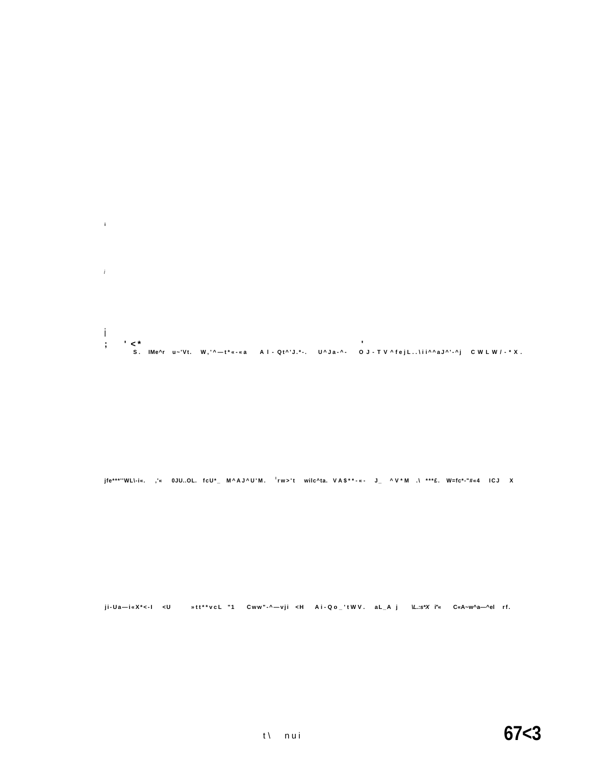$\sim 10^{-10}$  m  $^{-1}$ 

 $\vec{I}$ 

jfe\*\*\*"WL\-i«.,'« OJU..OL. fcU\*\_ M^AJ^U'M. <sup>1</sup>rw>'t wilc^ta. VA\$\*\*-«- J\_ ^V\*M .\ \*\*\*£. W=fc\*-"#«4 ICJ X

ji-Ua—i«X\*<-I <U »tt\*\*vcL "1 Cww"-^—vji <H Ai-Qo\_'tWV. aL\_A j \L.:s\*X i"« C«A~w^a—^el rf.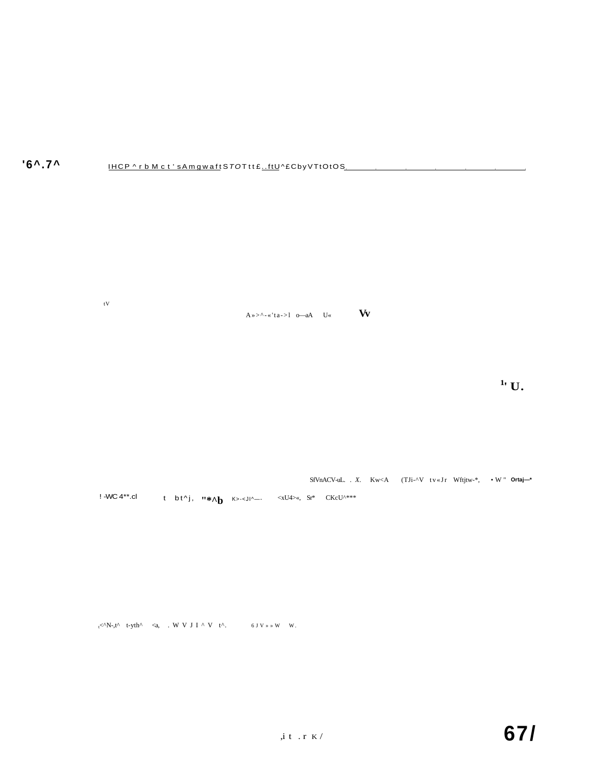## '6^.7^ HCP^rbMct'sAmgwaftSTOTtt£\_ftU^£CbyVTtOtOS

 $tV$  $A \gg \land \sim \ll'$ ta->l o—aA U« Vv

 $1$  U.

J.

 $\nonumber \text{SfVnACV-ul.}\quad X. \quad \text{Kw<}A \qquad \text{(TJi-}^{\wedge}V \quad \text{tv} \cdot Jr \quad \text{Wfijtw-}^*, \qquad \bullet \text{ W} \quad \text{Ortaj--}^*$  $! \cdot \text{WC } 4^{**}.$ cl t bt^j,  $** \wedge$ b K>-<JI^---  $\langle xU4 \rangle_{\infty}$ , Sr\* CKcU^\*\*\*

 $\mathsf{t} \mathopen{<}^\wedge \mathsf{N} \mathopen{-}, \mathsf{t} \mathclose{+} \quad \mathsf{t} \mathopen{-} \mathsf{y} \mathsf{t} \mathclose{h} \qquad \mathopen{<} \mathsf{a}, \quad \mathsf{W} \ \ \mathsf{V} \ \ \mathsf{J} \ \ \mathsf{I} \ \ \mathopen{^{\wedge}} \ \ \mathsf{V} \quad \ \mathsf{t} \ \ \mathopen{^{\wedge}} \quad \qquad \mathsf{6} \ \ \mathsf{J} \ \mathsf{V} \ \mathbin{>}{\mathsf{w}} \ \ \mathsf{W} \quad \ \mathsf{W} \,.$